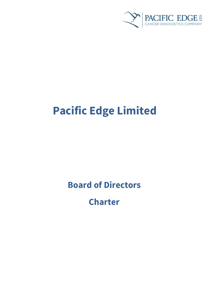

# **Pacific Edge Limited**

**Board of Directors**

**Charter**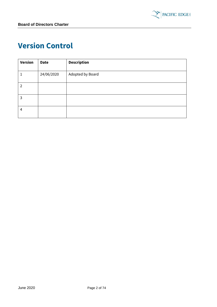

# <span id="page-1-0"></span>**Version Control**

| <b>Version</b> | <b>Date</b> | <b>Description</b> |
|----------------|-------------|--------------------|
| 1              | 24/06/2020  | Adopted by Board   |
| 2              |             |                    |
| 3              |             |                    |
| 4              |             |                    |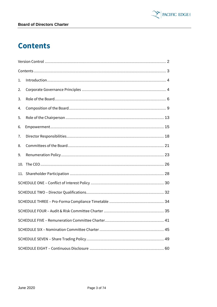

# <span id="page-2-0"></span>**Contents**

| 1. |  |  |  |
|----|--|--|--|
| 2. |  |  |  |
| 3. |  |  |  |
| 4. |  |  |  |
| 5. |  |  |  |
| 6. |  |  |  |
| 7. |  |  |  |
| 8. |  |  |  |
| 9. |  |  |  |
|    |  |  |  |
|    |  |  |  |
|    |  |  |  |
|    |  |  |  |
|    |  |  |  |
|    |  |  |  |
|    |  |  |  |
|    |  |  |  |
|    |  |  |  |
|    |  |  |  |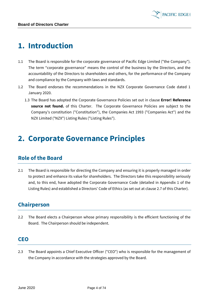

# <span id="page-3-0"></span>**1. Introduction**

- 1.1 The Board is responsible for the corporate governance of Pacific Edge Limited ("the Company"). The term "corporate governance" means the control of the business by the Directors, and the accountability of the Directors to shareholders and others, for the performance of the Company and compliance by the Company with laws and standards.
- 1.2 The Board endorses the recommendations in the NZX Corporate Governance Code dated 1 January 2020.
	- 1.3 The Board has adopted the Corporate Governance Policies set out in clause **Error! Reference source not found.** of this Charter. The Corporate Governance Policies are subject to the Company's constitution ("Constitution"), the Companies Act 1993 ("Companies Act") and the NZX Limited ("NZX") Listing Rules ("Listing Rules").

# <span id="page-3-1"></span>**2. Corporate Governance Principles**

#### **Role of the Board**

2.1 The Board is responsible for directing the Company and ensuring it is properly managed in order to protect and enhance its value for shareholders. The Directors take this responsibility seriously and, to this end, have adopted the Corporate Governance Code (detailed in Appendix 1 of the Listing Rules) and established a Directors' Code of Ethics (as set out at clause [2.7](#page-4-0) of this Charter).

#### **Chairperson**

2.2 The Board elects a Chairperson whose primary responsibility is the efficient functioning of the Board. The Chairperson should be independent.

#### **CEO**

2.3 The Board appoints a Chief Executive Officer ("CEO") who is responsible for the management of the Company in accordance with the strategies approved by the Board.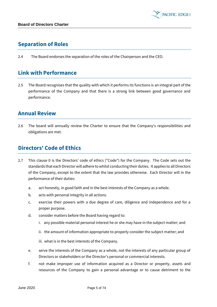# **Separation of Roles**

2.4 The Board endorses the separation of the roles of the Chairperson and the CEO.

#### **Link with Performance**

2.5 The Board recognises that the quality with which it performs its functions is an integral part of the performance of the Company and that there is a strong link between good governance and performance.

#### **Annual Review**

2.6 The board will annually review the Charter to ensure that the Company's responsibilities and obligations are met.

#### <span id="page-4-0"></span>**Directors' Code of Ethics**

- <span id="page-4-1"></span>2.7 This clause [0](#page-4-1) is the Directors' code of ethics ("Code") for the Company. The Code sets out the standards that each Director will adhere to whilst conducting their duties. It applies to all Directors of the Company, except to the extent that the law provides otherwise. Each Director will in the performance of their duties:
	- a. act honestly, in good faith and in the best interests of the Company as a whole.
	- b. acts with personal integrity in all actions.
	- c. exercise their powers with a due degree of care, diligence and independence and for a proper purpose.
	- d. consider matters before the Board having regard to:
		- i. any possible material personal interest he or she may have in the subject matter; and
		- ii. the amount of information appropriate to properly consider the subject matter; and
		- iii. what is in the best interests of the Company.
	- e. serve the interests of the Company as a whole, not the interests of any particular group of Directors or stakeholders or the Director's personal or commercial interests.
	- f. not make improper use of information acquired as a Director or property, assets and resources of the Company to gain a personal advantage or to cause detriment to the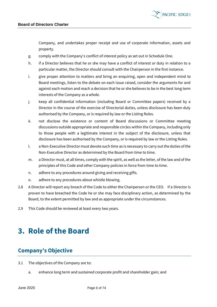

Company, and undertakes proper receipt and use of corporate information, assets and property.

- g. comply with the Company's conflict of interest policy as set out in Schedule One.
- h. if a Director believes that he or she may have a conflict of interest or duty in relation to a particular matter, the Director should consult with the Chairperson in the first instance.
- i. give proper attention to matters and bring an enquiring, open and independent mind to Board meetings, listen to the debate on each issue raised, consider the arguments for and against each motion and reach a decision that he or she believes to be in the best long term interests of the Company as a whole.
- j. keep all confidential information (including Board or Committee papers) received by a Director in the course of the exercise of Directorial duties, unless disclosure has been duly authorised by the Company, or is required by law or the Listing Rules.
- k. not disclose the existence or content of Board discussions or Committee meeting discussions outside appropriate and responsible circles within the Company, including only to those people with a legitimate interest in the subject of the disclosure, unless that disclosure has been authorised by the Company, or is required by law or the Listing Rules.
- l. a Non-Executive Director must devote such time as is necessary to carry out the duties of the Non-Executive Director as determined by the Board from time to time.
- m. a Director must, at all times, comply with the spirit, as well as the letter, of the law and of the principles of this Code and other Company policies in force from time to time.
- n. adhere to any procedures around giving and receiving gifts.
- o. adhere to any procedures about whistle blowing.
- 2.8 A Director will report any breach of the Code to either the Chairperson or the CEO. If a Director is proven to have breached the Code he or she may face disciplinary action, as determined by the Board, to the extent permitted by law and as appropriate under the circumstances.
- 2.9 This Code should be reviewed at least every two years.

# <span id="page-5-0"></span>**3. Role of the Board**

# **Company's Objective**

- 3.1 The objectives of the Company are to:
	- a. enhance long term and sustained corporate profit and shareholder gain; and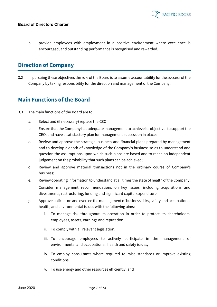b. provide employees with employment in a positive environment where excellence is encouraged, and outstanding performance is recognised and rewarded.

### **Direction of Company**

3.2 In pursuing these objectives the role of the Board is to assume accountability for the success of the Company by taking responsibility for the direction and management of the Company.

#### **Main Functions of the Board**

- 3.3 The main functions of the Board are to:
	- a. Select and (if necessary) replace the CEO;
	- b. Ensure that the Company has adequate management to achieve its objective, to support the CEO, and have a satisfactory plan for management succession in place;
	- c. Review and approve the strategic, business and financial plans prepared by management and to develop a depth of knowledge of the Company's business so as to understand and question the assumptions upon which such plans are based and to reach an independent judgement on the probability that such plans can be achieved;
	- d. Review and approve material transactions not in the ordinary course of Company's business;
	- e. Review operating information to understand at all times the state of health of the Company;
	- f. Consider management recommendations on key issues, including acquisitions and divestments, restructuring, funding and significant capital expenditure;
	- g. Approve policies on and oversee the management of business risks, safety and occupational health, and environmental issues with the following aims:
		- i. To manage risk throughout its operation in order to protect its shareholders, employees, assets, earnings and reputation,
		- ii. To comply with all relevant legislation,
		- iii. To encourage employees to actively participate in the management of environmental and occupational, health and safety issues,
		- iv. To employ consultants where required to raise standards or improve existing conditions,
		- v. To use energy and other resources efficiently, and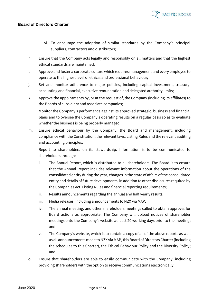

- vi. To encourage the adoption of similar standards by the Company's principal suppliers, contractors and distributors;
- h. Ensure that the Company acts legally and responsibly on all matters and that the highest ethical standards are maintained;
- i. Approve and foster a corporate culture which requires management and every employee to operate to the highest level of ethical and professional behaviour;
- j. Set and monitor adherence to major policies, including capital investment, treasury, accounting and financial, executive remuneration and delegated authority limits;
- k. Approve the appointments by, or at the request of, the Company (including its affiliates) to the Boards of subsidiary and associate companies;
- l. Monitor the Company's performance against its approved strategic, business and financial plans and to oversee the Company's operating results on a regular basis so as to evaluate whether the business is being properly managed;
- m. Ensure ethical behaviour by the Company, the Board and management, including compliance with the Constitution, the relevant laws, Listing Rules and the relevant auditing and accounting principles;
- n. Report to shareholders on its stewardship. Information is to be communicated to shareholders through:
	- i. The Annual Report, which is distributed to all shareholders. The Board is to ensure that the Annual Report includes relevant information about the operations of the consolidated entity during the year, changes in the state of affairs of the consolidated entity and details of future developments, in addition to other disclosures required by the Companies Act, Listing Rules and financial reporting requirements;
	- ii. Results announcements regarding the annual and half yearly results;
	- iii. Media releases, including announcements to NZX via MAP;
	- iv. The annual meeting, and other shareholders meetings called to obtain approval for Board actions as appropriate. The Company will upload notices of shareholder meetings onto the Company's website at least 20 working days prior to the meeting; and
	- v. The Company's website, which is to contain a copy of all of the above reports as well as all announcements made to NZX via MAP, this Board of Directors Charter (including the schedules to this Charter), the Ethical Behaviour Policy and the Diversity Policy; and
- o. Ensure that shareholders are able to easily communicate with the Company, including providing shareholders with the option to receive communications electronically.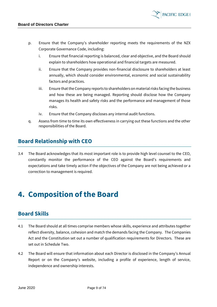

**PACIFIC EDGE** 

- p. Ensure that the Company's shareholder reporting meets the requirements of the NZX Corporate Governance Code, including:
	- i. Ensure that financial reporting is balanced, clear and objective, and the Board should explain to shareholders how operational and financial targets are measured.
	- ii. Ensure that the Company provides non-financial disclosure to shareholders at least annually, which should consider environmental, economic and social sustainability factors and practices.
	- iii. Ensure that the Company reports to shareholders on material risks facing the business and how these are being managed. Reporting should disclose how the Company manages its health and safety risks and the performance and management of those risks.
	- iv. Ensure that the Company discloses any internal audit functions.
- q. Assess from time to time its own effectiveness in carrying out these functions and the other responsibilities of the Board.

### **Board Relationship with CEO**

3.4 The Board acknowledges that its most important role is to provide high level counsel to the CEO, constantly monitor the performance of the CEO against the Board's requirements and expectations and take timely action if the objectives of the Company are not being achieved or a correction to management is required.

# <span id="page-8-0"></span>**4. Composition of the Board**

# **Board Skills**

- 4.1 The Board should at all times comprise members whose skills, experience and attributes together reflect diversity, balance, cohesion and match the demands facing the Company. The Companies Act and the Constitution set out a number of qualification requirements for Directors. These are set out in Schedule Two.
- 4.2 The Board will ensure that information about each Director is disclosed in the Company's Annual Report or on the Company's website, including a profile of experience, length of service, independence and ownership interests.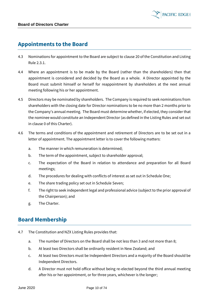

#### **Appointments to the Board**

- 4.3 Nominations for appointment to the Board are subject to clause 20 of the Constitution and Listing Rule 2.3.1.
- 4.4 Where an appointment is to be made by the Board (rather than the shareholders) then that appointment is considered and decided by the Board as a whole. A Director appointed by the Board must submit himself or herself for reappointment by shareholders at the next annual meeting following his or her appointment.
- 4.5 Directors may be nominated by shareholders. The Company is required to seek nominations from shareholders with the closing date for Director nominations to be no more than 2 months prior to the Company's annual meeting. The Board must determine whether, if elected, they consider that the nominee would constitute an Independent Director (as defined in the Listing Rules and set out in clause [0](#page-10-0) of this Charter).
- 4.6 The terms and conditions of the appointment and retirement of Directors are to be set out in a letter of appointment. The appointment letter is to cover the following matters:
	- a. The manner in which remuneration is determined;
	- b. The term of the appointment, subject to shareholder approval;
	- c. The expectation of the Board in relation to attendance and preparation for all Board meetings;
	- d. The procedures for dealing with conflicts of interest as set out in Schedule One;
	- e. The share trading policy set out in Schedule Seven;
	- f. The right to seek independent legal and professional advice (subject to the prior approval of the Chairperson); and
	- g. The Charter.

#### **Board Membership**

- 4.7 The Constitution and NZX Listing Rules provides that:
	- a. The number of Directors on the Board shall be not less than 3 and not more than 8;
	- b. At least two Directors shall be ordinarily resident in New Zealand; and
	- c. At least two Directors must be Independent Directors and a majority of the Board should be Independent Directors.
	- d. A Director must not hold office without being re-elected beyond the third annual meeting after his or her appointment, or for three years, whichever is the longer;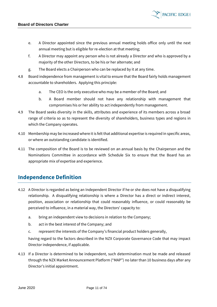- e. A Director appointed since the previous annual meeting holds office only until the next annual meeting but is eligible for re-election at that meeting;
- f. A Director may appoint any person who is not already a Director and who is approved by a majority of the other Directors, to be his or her alternate; and
- g. The Board elects a Chairperson who can be replaced by it at any time.
- 4.8 Board independence from management is vital to ensure that the Board fairly holds management accountable to shareholders. Applying this principle:
	- a. The CEO is the only executive who may be a member of the Board; and
	- b. A Board member should not have any relationship with management that compromises his or her ability to act independently from management.
- 4.9 The Board seeks diversity in the skills, attributes and experience of its members across a broad range of criteria so as to represent the diversity of shareholders, business types and regions in which the Company operates.
- 4.10 Membership may be increased where it is felt that additional expertise is required in specific areas, or where an outstanding candidate is identified.
- 4.11 The composition of the Board is to be reviewed on an annual basis by the Chairperson and the Nominations Committee in accordance with Schedule Six to ensure that the Board has an appropriate mix of expertise and experience.

#### **Independence Definition**

- <span id="page-10-0"></span>4.12 A Director is regarded as being an Independent Director if he or she does not have a disqualifying relationship. A disqualifying relationship is where a Director has a direct or indirect interest, position, association or relationship that could reasonably influence, or could reasonably be perceived to influence, in a material way, the Directors' capacity to:
	- a. bring an independent view to decisions in relation to the Company;
	- b. act in the best interest of the Company; and
	- c. represent the interests of the Company's financial product holders generally,

having regard to the factors described in the NZX Corporate Governance Code that may impact Director independence, if applicable.

4.13 If a Director is determined to be independent, such determination must be made and released through the NZX Market Announcement Platform ("MAP") no later than 10 business days after any Director's initial appointment.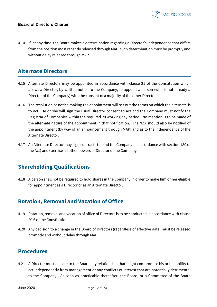4.14 If, at any time, the Board makes a determination regarding a Director's independence that differs from the position most recently released through MAP, such determination must be promptly and without delay released through MAP.

**PACIFIC EDGE** 

#### **Alternate Directors**

- 4.15 Alternate Directors may be appointed in accordance with clause 21 of the Constitution which allows a Director, by written notice to the Company, to appoint a person (who is not already a Director of the Company) with the consent of a majority of the other Directors.
- 4.16 The resolution or notice making the appointment will set out the terms on which the alternate is to act. He or she will sign the usual Director consent to act and the Company must notify the Registrar of Companies within the required 20 working day period. No mention is to be made of the alternate nature of the appointment in that notification. The NZX should also be notified of the appointment (by way of an announcement through MAP) and as to the independence of the Alternate Director.
- 4.17 An Alternate Director may sign contracts to bind the Company (in accordance with section 180 of the Act) and exercise all other powers of Director of the Company.

# **Shareholding Qualifications**

4.18 A person shall not be required to hold shares in the Company in order to make him or her eligible for appointment as a Director or as an Alternate Director.

#### **Rotation, Removal and Vacation of Office**

- 4.19 Rotation, removal and vacation of office of Directors is to be conducted in accordance with clause 20.6 of the Constitution.
- 4.20 Any decision to a change in the Board of Directors (regardless of effective date) must be released promptly and without delay through MAP.

#### **Procedures**

4.21 A Director must declare to the Board any relationship that might compromise his or her ability to act independently from management or any conflicts of interest that are potentially detrimental to the Company. As soon as practicable thereafter, the Board, or a Committee of the Board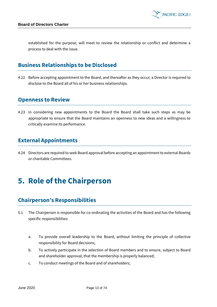

established for the purpose, will meet to review the relationship or conflict and determine a process to deal with the issue.

#### **Business Relationships to be Disclosed**

4.22 Before accepting appointment to the Board, and thereafter as they occur, a Director is required to disclose to the Board all of his or her business relationships.

#### **Openness to Review**

4.23 In considering new appointments to the Board the Board shall take such steps as may be appropriate to ensure that the Board maintains an openness to new ideas and a willingness to critically examine its performance.

### **External Appointments**

4.24 Directors are required to seek Board approval before accepting an appointment to external Boards or charitable Committees.

# <span id="page-12-0"></span>**5. Role of the Chairperson**

#### **Chairperson's Responsibilities**

- 5.1 The Chairperson is responsible for co-ordinating the activities of the Board and has the following specific responsibilities:
	- a. To provide overall leadership to the Board, without limiting the principle of collective responsibility for Board decisions;
	- b. To actively participate in the selection of Board members and to ensure, subject to Board and shareholder approval, that the membership is properly balanced;
	- c. To conduct meetings of the Board and of shareholders;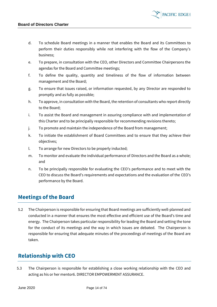d. To schedule Board meetings in a manner that enables the Board and its Committees to perform their duties responsibly while not interfering with the flow of the Company's business;

**PACIFIC EDGE** 

- e. To prepare, in consultation with the CEO, other Directors and Committee Chairpersons the agendas for the Board and Committee meetings;
- f. To define the quality, quantity and timeliness of the flow of information between management and the Board;
- g. To ensure that issues raised, or information requested, by any Director are responded to promptly and as fully as possible;
- h. To approve, in consultation with the Board, the retention of consultants who report directly to the Board;
- i. To assist the Board and management in assuring compliance with and implementation of this Charter and to be principally responsible for recommending revisions thereto;
- j. To promote and maintain the independence of the Board from management;
- k. To initiate the establishment of Board Committees and to ensure that they achieve their objectives;
- l. To arrange for new Directors to be properly inducted;
- m. To monitor and evaluate the individual performance of Directors and the Board as a whole; and
- n. To be principally responsible for evaluating the CEO's performance and to meet with the CEO to discuss the Board's requirements and expectations and the evaluation of the CEO's performance by the Board.

#### **Meetings of the Board**

5.2 The Chairperson is responsible for ensuring that Board meetings are sufficiently well-planned and conducted in a manner that ensures the most effective and efficient use of the Board's time and energy. The Chairperson takes particular responsibility for leading the Board and setting the tone for the conduct of its meetings and the way in which issues are debated. The Chairperson is responsible for ensuring that adequate minutes of the proceedings of meetings of the Board are taken.

#### **Relationship with CEO**

5.3 The Chairperson is responsible for establishing a close working relationship with the CEO and acting as his or her mentor6. DIRECTOR EMPOWERMENT ASSURANCE.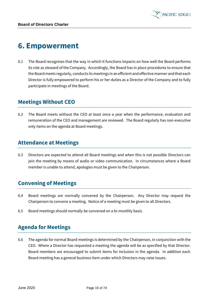

# <span id="page-14-0"></span>**6. Empowerment**

6.1 The Board recognises that the way in which it functions impacts on how well the Board performs its role as steward of the Company. Accordingly, the Board has in place procedures to ensure that the Board meets regularly, conducts its meetings in an efficient and effective manner and that each Director is fully empowered to perform his or her duties as a Director of the Company and to fully participate in meetings of the Board.

#### **Meetings Without CEO**

6.2 The Board meets without the CEO at least once a year when the performance, evaluation and remuneration of the CEO and management are reviewed. The Board regularly has non-executive only items on the agenda at Board meetings.

#### **Attendance at Meetings**

6.3 Directors are expected to attend all Board meetings and when this is not possible Directors can join the meeting by means of audio or video communication. In circumstances where a Board member is unable to attend, apologies must be given to the Chairperson.

#### **Convening of Meetings**

- 6.4 Board meetings are normally convened by the Chairperson. Any Director may request the Chairperson to convene a meeting. Notice of a meeting must be given to all Directors.
- 6.5 Board meetings should normally be convened on a bi-monthly basis.

#### **Agenda for Meetings**

6.6 The agenda for normal Board meetings is determined by the Chairperson, in conjunction with the CEO. Where a Director has requested a meeting the agenda will be as specified by that Director. Board members are encouraged to submit items for inclusion in the agenda. In addition each Board meeting has a general business item under which Directors may raise issues.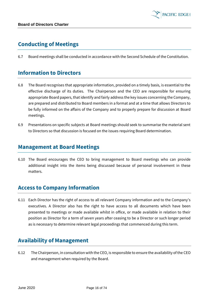

### **Conducting of Meetings**

6.7 Board meetings shall be conducted in accordance with the Second Schedule of the Constitution.

#### **Information to Directors**

- 6.8 The Board recognises that appropriate information, provided on a timely basis, is essential to the effective discharge of its duties. The Chairperson and the CEO are responsible for ensuring appropriate Board papers, that identify and fairly address the key issues concerning the Company, are prepared and distributed to Board members in a format and at a time that allows Directors to be fully informed on the affairs of the Company and to properly prepare for discussion at Board meetings.
- 6.9 Presentations on specific subjects at Board meetings should seek to summarise the material sent to Directors so that discussion is focused on the issues requiring Board determination.

#### **Management at Board Meetings**

6.10 The Board encourages the CEO to bring management to Board meetings who can provide additional insight into the items being discussed because of personal involvement in these matters.

#### **Access to Company Information**

6.11 Each Director has the right of access to all relevant Company information and to the Company's executives. A Director also has the right to have access to all documents which have been presented to meetings or made available whilst in office, or made available in relation to their position as Director for a term of seven years after ceasing to be a Director or such longer period as is necessary to determine relevant legal proceedings that commenced during this term.

#### **Availability of Management**

6.12 The Chairperson, in consultation with the CEO, is responsible to ensure the availability of the CEO and management when required by the Board.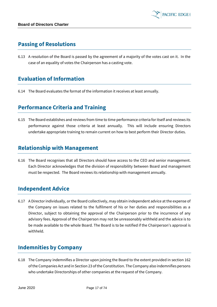# **Passing of Resolutions**

6.13 A resolution of the Board is passed by the agreement of a majority of the votes cast on it. In the case of an equality of votes the Chairperson has a casting vote.

### **Evaluation of Information**

6.14 The Board evaluates the format of the information it receives at least annually.

#### **Performance Criteria and Training**

6.15 The Board establishes and reviews from time to time performance criteria for itself and reviews its performance against those criteria at least annually. This will include ensuring Directors undertake appropriate training to remain current on how to best perform their Director duties.

#### **Relationship with Management**

6.16 The Board recognises that all Directors should have access to the CEO and senior management. Each Director acknowledges that the division of responsibility between Board and management must be respected. The Board reviews its relationship with management annually.

#### **Independent Advice**

6.17 A Director individually, or the Board collectively, may obtain independent advice at the expense of the Company on issues related to the fulfilment of his or her duties and responsibilities as a Director, subject to obtaining the approval of the Chairperson prior to the incurrence of any advisory fees. Approval of the Chairperson may not be unreasonably withheld and the advice is to be made available to the whole Board. The Board is to be notified if the Chairperson's approval is withheld.

# **Indemnities by Company**

6.18 The Company indemnifies a Director upon joining the Board to the extent provided in section 162 of the Companies Act and in Section 23 of the Constitution. The Company also indemnifies persons who undertake Directorships of other companies at the request of the Company.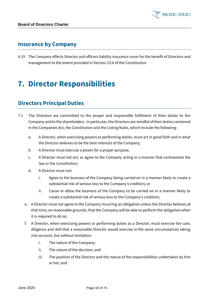#### **Insurance by Company**

6.19 The Company effects Director and officers liability insurance cover for the benefit of Directors and management to the extent provided in Section 23.4 of the Constitution.

# <span id="page-17-0"></span>**7. Director Responsibilities**

# **Directors Principal Duties**

- 7.1 The Directors are committed to the proper and responsible fulfilment of their duties to the Company and to the shareholders. In particular, the Directors are mindful of their duties contained in the Companies Act, the Constitution and the Listing Rules, which include the following:
	- a. A Director, when exercising powers or performing duties, must act in good faith and in what the Director believes to be the best interests of the Company;
	- b. A Director must exercise a power for a proper purpose;
	- c. A Director must not act, or agree to the Company acting in a manner that contravenes the law or the Constitution;
	- d. A Director must not:
		- i. Agree to the business of the Company being carried on in a manner likely to create a substantial risk of serious loss to the Company's creditors; or
		- ii. Cause or allow the business of the Company to be carried on in a manner likely to create a substantial risk of serious loss to the Company's creditors;
	- e. A Director must not agree to the Company incurring an obligation unless the Director believes at that time, on reasonable grounds, that the Company will be able to perform the obligation when it is required to do so;
	- f. A Director, when exercising powers or performing duties as a Director, must exercise the care, diligence and skill that a reasonable Director would exercise in the same circumstances taking into account, but without limitation:
		- i. The nature of the Company;
		- ii. The nature of the decision; and
		- iii. The position of the Director and the nature of the responsibilities undertaken by him or her; and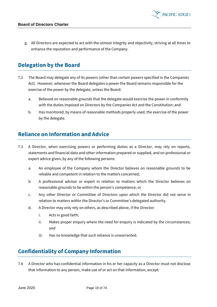

g. All Directors are expected to act with the utmost integrity and objectivity, striving at all times to enhance the reputation and performance of the Company.

### **Delegation by the Board**

- 7.2 The Board may delegate any of its powers (other than certain powers specified in the Companies Act). However, whenever the Board delegates a power the Board remains responsible for the exercise of the power by the delegate, unless the Board:
	- a. Believed on reasonable grounds that the delegate would exercise the power in conformity with the duties imposed on Directors by the Companies Act and the Constitution; and
	- b. Has monitored, by means of reasonable methods properly used, the exercise of the power by the delegate.

#### **Reliance on Information and Advice**

- 7.3 A Director, when exercising powers or performing duties as a Director, may rely on reports, statements and financial data and other information prepared or supplied, and on professional or expert advice given, by any of the following persons:
	- a. An employee of the Company whom the Director believes on reasonable grounds to be reliable and competent in relation to the matters concerned;
	- b. A professional advisor or expert in relation to matters which the Director believes on reasonable grounds to be within the person's competence; or
	- c. Any other Director or Committee of Directors upon which the Director did not serve in relation to matters within the Director's or Committee's delegated authority.
	- d. A Director may only rely on others, as described above, if the Director:
		- i. Acts in good faith;
		- ii. Makes proper enquiry where the need for enquiry is indicated by the circumstances; and
		- iii. Has no knowledge that such reliance is unwarranted.

# **Confidentiality of Company Information**

7.4 A Director who has confidential information in his or her capacity as a Director must not disclose that information to any person, make use of or act on that information, except: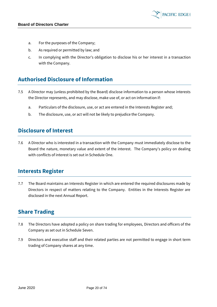

- a. For the purposes of the Company;
- b. As required or permitted by law; and
- c. In complying with the Director's obligation to disclose his or her interest in a transaction with the Company.

### **Authorised Disclosure of Information**

- 7.5 A Director may (unless prohibited by the Board) disclose information to a person whose interests the Director represents, and may disclose, make use of, or act on information if:
	- a. Particulars of the disclosure, use, or act are entered in the Interests Register and;
	- b. The disclosure, use, or act will not be likely to prejudice the Company.

#### **Disclosure of Interest**

7.6 A Director who is interested in a transaction with the Company must immediately disclose to the Board the nature, monetary value and extent of the interest. The Company's policy on dealing with conflicts of interest is set out in Schedule One.

#### **Interests Register**

7.7 The Board maintains an Interests Register in which are entered the required disclosures made by Directors in respect of matters relating to the Company. Entities in the Interests Register are disclosed in the next Annual Report.

#### **Share Trading**

- 7.8 The Directors have adopted a policy on share trading for employees, Directors and officers of the Company as set out in Schedule Seven.
- 7.9 Directors and executive staff and their related parties are not permitted to engage in short term trading of Company shares at any time.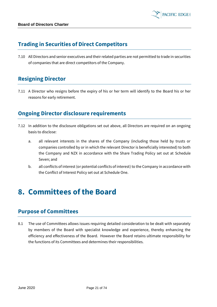

### **Trading in Securities of Direct Competitors**

7.10 All Directors and senior executives and their related parties are not permitted to trade in securities of companies that are direct competitors of the Company.

# **Resigning Director**

7.11 A Director who resigns before the expiry of his or her term will identify to the Board his or her reasons for early retirement.

### **Ongoing Director disclosure requirements**

- 7.12 In addition to the disclosure obligations set out above, all Directors are required on an ongoing basis to disclose:
	- a. all relevant interests in the shares of the Company (including those held by trusts or companies controlled by or in which the relevant Director is beneficially interested) to both the Company and NZX in accordance with the Share Trading Policy set out at Schedule Seven; and
	- b. all conflicts of interest (or potential conflicts of interest) to the Company in accordance with the Conflict of Interest Policy set out at Schedule One.

# <span id="page-20-0"></span>**8. Committees of the Board**

#### **Purpose of Committees**

8.1 The use of Committees allows issues requiring detailed consideration to be dealt with separately by members of the Board with specialist knowledge and experience, thereby enhancing the efficiency and effectiveness of the Board. However the Board retains ultimate responsibility for the functions of its Committees and determines their responsibilities.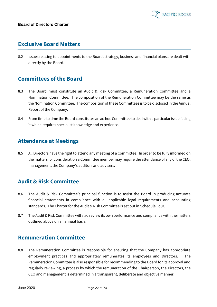#### **Exclusive Board Matters**

8.2 Issues relating to appointments to the Board, strategy, business and financial plans are dealt with directly by the Board.

### **Committees of the Board**

- 8.3 The Board must constitute an Audit & Risk Committee, a Remuneration Committee and a Nomination Committee. The composition of the Remuneration Committee may be the same as the Nomination Committee. The composition of these Committees is to be disclosed in the Annual Report of the Company.
- 8.4 From time to time the Board constitutes an ad hoc Committee to deal with a particular issue facing it which requires specialist knowledge and experience.

#### **Attendance at Meetings**

8.5 All Directors have the right to attend any meeting of a Committee. In order to be fully informed on the matters for consideration a Committee member may require the attendance of any of the CEO, management, the Company's auditors and advisers.

#### **Audit & Risk Committee**

- 8.6 The Audit & Risk Committee's principal function is to assist the Board in producing accurate financial statements in compliance with all applicable legal requirements and accounting standards. The Charter for the Audit & Risk Committee is set out in Schedule Four.
- 8.7 The Audit & Risk Committee will also review its own performance and compliance with the matters outlined above on an annual basis.

#### **Remuneration Committee**

8.8 The Remuneration Committee is responsible for ensuring that the Company has appropriate employment practices and appropriately remunerates its employees and Directors. The Remuneration Committee is also responsible for recommending to the Board for its approval and regularly reviewing, a process by which the remuneration of the Chairperson, the Directors, the CEO and management is determined in a transparent, deliberate and objective manner.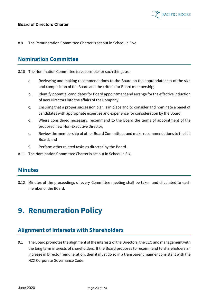8.9 The Remuneration Committee Charter is set out in Schedule Five.

#### **Nomination Committee**

- 8.10 The Nomination Committee is responsible for such things as:
	- a. Reviewing and making recommendations to the Board on the appropriateness of the size and composition of the Board and the criteria for Board membership;
	- b. Identify potential candidates for Board appointment and arrange for the effective induction of new Directors into the affairs of the Company;
	- c. Ensuring that a proper succession plan is in place and to consider and nominate a panel of candidates with appropriate expertise and experience for consideration by the Board;
	- d. Where considered necessary, recommend to the Board the terms of appointment of the proposed new Non-Executive Director;
	- e. Review the membership of other Board Committees and make recommendations to the full Board; and
	- f. Perform other related tasks as directed by the Board.
- 8.11 The Nomination Committee Charter is set out in Schedule Six.

#### **Minutes**

8.12 Minutes of the proceedings of every Committee meeting shall be taken and circulated to each member of the Board.

# <span id="page-22-0"></span>**9. Renumeration Policy**

#### **Alignment of Interests with Shareholders**

9.1 The Board promotes the alignment of the interests of the Directors, the CEO and management with the long term interests of shareholders. If the Board proposes to recommend to shareholders an increase in Director remuneration, then it must do so in a transparent manner consistent with the NZX Corporate Governance Code.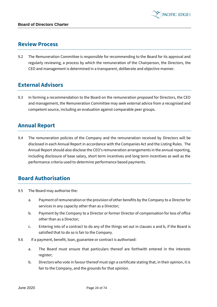

#### **Review Process**

9.2 The Remuneration Committee is responsible for recommending to the Board for its approval and regularly reviewing, a process by which the remuneration of the Chairperson, the Directors, the CEO and management is determined in a transparent, deliberate and objective manner.

### **External Advisors**

9.3 In forming a recommendation to the Board on the remuneration proposed for Directors, the CEO and management, the Remuneration Committee may seek external advice from a recognised and competent source, including an evaluation against comparable peer groups.

#### **Annual Report**

9.4 The remuneration policies of the Company and the remuneration received by Directors will be disclosed in each Annual Report in accordance with the Companies Act and the Listing Rules. The Annual Report should also disclose the CEO's remuneration arrangements in the annual reporting, including disclosure of base salary, short term incentives and long term incentives as well as the performance criteria used to determine performance based payments.

#### **Board Authorisation**

- <span id="page-23-1"></span><span id="page-23-0"></span>9.5 The Board may authorise the:
	- a. Payment of remuneration or the provision of other benefits by the Company to a Director for services in any capacity other than as a Director;
	- b. Payment by the Company to a Director or former Director of compensation for loss of office other than as a Director;
	- c. Entering into of a contract to do any of the things set out in clauses [a](#page-23-0) and [b,](#page-23-1) if the Board is satisfied that to do so is fair to the Company.
- 9.6 If a payment, benefit, loan, guarantee or contract is authorised:
	- a. The Board must ensure that particulars thereof are forthwith entered in the interests register;
	- b. Directors who vote in favour thereof must sign a certificate stating that, in their opinion, it is fair to the Company, and the grounds for that opinion.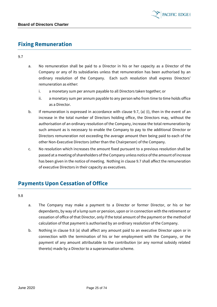

### **Fixing Remuneration**

9.7

- a. No remuneration shall be paid to a Director in his or her capacity as a Director of the Company or any of its subsidiaries unless that remuneration has been authorised by an ordinary resolution of the Company. Each such resolution shall express Directors' remuneration as either:
	- i. a monetary sum per annum payable to all Directors taken together; or
	- ii. a monetary sum per annum payable to any person who from time to time holds office as a Director.
- b. If remuneration is expressed in accordance with clause 9.7, (a) (i), then in the event of an increase in the total number of Directors holding office, the Directors may, without the authorisation of an ordinary resolution of the Company, increase the total remuneration by such amount as is necessary to enable the Company to pay to the additional Director or Directors remuneration not exceeding the average amount then being paid to each of the other Non-Executive Directors (other than the Chairperson) of the Company.
- c. No resolution which increases the amount fixed pursuant to a previous resolution shall be passed at a meeting of shareholders of the Company unless notice of the amount of increase has been given in the notice of meeting. Nothing in clause 9.7 shall affect the remuneration of executive Directors in their capacity as executives.

# **Payments Upon Cessation of Office**

9.8

- a. The Company may make a payment to a Director or former Director, or his or her dependants, by way of a lump sum or pension, upon or in connection with the retirement or cessation of office of that Director, only if the total amount of the payment or the method of calculation of that payment is authorised by an ordinary resolution of the Company.
- b. Nothing in clause 9.8 (a) shall affect any amount paid to an executive Director upon or in connection with the termination of his or her employment with the Company, or the payment of any amount attributable to the contribution (or any normal subsidy related thereto) made by a Director to a superannuation scheme.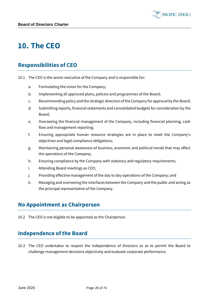

# <span id="page-25-0"></span>**10. The CEO**

### **Responsibilities of CEO**

- 10.1 The CEO is the senior executive of the Company and is responsible for:
	- a. Formulating the vision for the Company;
	- b. Implementing all approved plans, policies and programmes of the Board;
	- c. Recommending policy and the strategic direction of the Company for approval by the Board;
	- d. Submitting reports, financial statements and consolidated budgets for consideration by the Board;
	- e. Overseeing the financial management of the Company, including financial planning, cash flow and management reporting;
	- f. Ensuring appropriate human resource strategies are in place to meet the Company's objectives and legal compliance obligations;
	- g. Maintaining personal awareness of business, economic and political trends that may affect the operations of the Company;
	- h. Ensuring compliance by the Company with statutory and regulatory requirements;
	- i. Attending Board meetings as CEO;
	- j. Providing effective management of the day to day operations of the Company; and
	- k. Managing and overseeing the interfaces between the Company and the public and acting as the principal representative of the Company.

#### **No Appointment as Chairperson**

10.2 The CEO is not eligible to be appointed as the Chairperson.

#### **Independence of the Board**

10.3 The CEO undertakes to respect the independence of Directors so as to permit the Board to challenge management decisions objectively and evaluate corporate performance.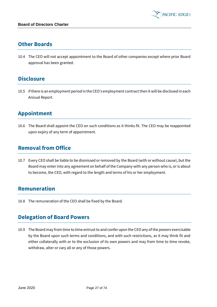#### **Other Boards**

10.4 The CEO will not accept appointment to the Board of other companies except where prior Board approval has been granted.

#### **Disclosure**

10.5 If there is an employment period in the CEO's employment contract then it will be disclosed in each Annual Report.

# **Appointment**

10.6 The Board shall appoint the CEO on such conditions as it thinks fit. The CEO may be reappointed upon expiry of any term of appointment.

#### **Removal from Office**

10.7 Every CEO shall be liable to be dismissed or removed by the Board (with or without cause), but the Board may enter into any agreement on behalf of the Company with any person who is, or is about to become, the CEO, with regard to the length and terms of his or her employment.

#### **Remuneration**

10.8 The remuneration of the CEO shall be fixed by the Board.

#### **Delegation of Board Powers**

10.9 The Board may from time to time entrust to and confer upon the CEO any of the powers exercisable by the Board upon such terms and conditions, and with such restrictions, as it may think fit and either collaterally with or to the exclusion of its own powers and may from time to time revoke, withdraw, alter or vary all or any of those powers.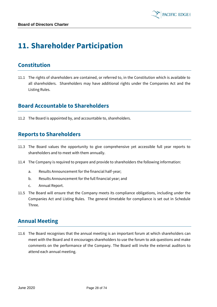# <span id="page-27-0"></span>**11. Shareholder Participation**

### **Constitution**

11.1 The rights of shareholders are contained, or referred to, in the Constitution which is available to all shareholders. Shareholders may have additional rights under the Companies Act and the Listing Rules.

#### **Board Accountable to Shareholders**

11.2 The Board is appointed by, and accountable to, shareholders.

### **Reports to Shareholders**

- 11.3 The Board values the opportunity to give comprehensive yet accessible full year reports to shareholders and to meet with them annually.
- 11.4 The Company is required to prepare and provide to shareholders the following information:
	- a. Results Announcement for the financial half-year;
	- b. Results Announcement for the full financial year; and
	- c. Annual Report.
- 11.5 The Board will ensure that the Company meets its compliance obligations, including under the Companies Act and Listing Rules. The general timetable for compliance is set out in Schedule Three.

#### **Annual Meeting**

11.6 The Board recognises that the annual meeting is an important forum at which shareholders can meet with the Board and it encourages shareholders to use the forum to ask questions and make comments on the performance of the Company. The Board will invite the external auditors to attend each annual meeting.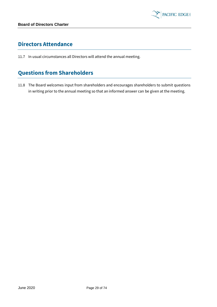

### **Directors Attendance**

11.7 In usual circumstances all Directors will attend the annual meeting.

# **Questions from Shareholders**

11.8 The Board welcomes input from shareholders and encourages shareholders to submit questions in writing prior to the annual meeting so that an informed answer can be given at the meeting.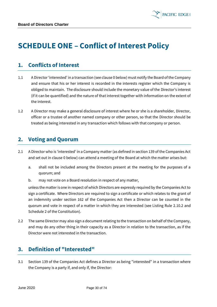

# <span id="page-29-0"></span>**SCHEDULE ONE – Conflict of Interest Policy**

#### **1. Conflicts of Interest**

- 1.1 A Director'interested' in a transaction (see claus[e 0](#page-29-1) below) must notify the Board of the Company and ensure that his or her interest is recorded in the interests register which the Company is obliged to maintain. The disclosure should include the monetary value of the Director's interest (if it can be quantified) and the nature of that interest together with information on the extent of the interest.
- 1.2 A Director may make a general disclosure of interest where he or she is a shareholder, Director, officer or a trustee of another named company or other person, so that the Director should be treated as being interested in any transaction which follows with that company or person.

#### **2. Voting and Quorum**

- 2.1 A Director who is 'interested' in a Company matter (as defined in section 139 of the Companies Act and set out in clause [0](#page-29-1) below) can attend a meeting of the Board at which the matter arises but:
	- a. shall not be included among the Directors present at the meeting for the purposes of a quorum; and
	- b. may not vote on a Board resolution in respect of any matter,

unless the matter is one in respect of which Directors are expressly required by the Companies Act to sign a certificate. Where Directors are required to sign a certificate or which relates to the grant of an indemnity under section 162 of the Companies Act then a Director can be counted in the quorum and vote in respect of a matter in which they are interested (see Listing Rule 2.10.2 and Schedule 2 of the Constitution).

2.2 The same Director may also sign a document relating to the transaction on behalf of the Company, and may do any other thing in their capacity as a Director in relation to the transaction, as if the Director were not interested in the transaction.

#### **3. Definition of "Interested"**

<span id="page-29-1"></span>3.1 Section 139 of the Companies Act defines a Director as being "interested" in a transaction where the Company is a party if, and only if, the Director: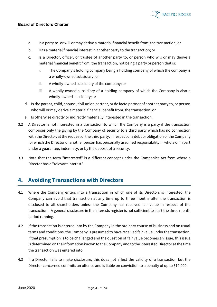

- b. Has a material financial interest in another party to the transaction; or
- c. Is a Director, officer, or trustee of another party to, or person who will or may derive a material financial benefit from, the transaction, not being a party or person that is:
	- i. The Company's holding company being a holding company of which the company is a wholly-owned subsidiary; or

**PACIFIC EDGE** 

- ii. A wholly-owned subsidiary of the company; or
- iii. A wholly-owned subsidiary of a holding company of which the Company is also a wholly-owned subsidiary; or
- d. Is the parent, child, spouse, civil union partner, or de facto partner of another party to, or person who will or may derive a material financial benefit from, the transaction; or
- e. Is otherwise directly or indirectly materially interested in the transaction.
- 3.2 A Director is not interested in a transaction to which the Company is a party if the transaction comprises only the giving by the Company of security to a third party which has no connection with the Director, at the request of the third party, in respect of a debt or obligation of the Company for which the Director or another person has personally assumed responsibility in whole or in part under a guarantee, indemnity, or by the deposit of a security.
- 3.3 Note that the term "Interested" is a different concept under the Companies Act from where a Director has a "relevant interest".

#### **4. Avoiding Transactions with Directors**

- 4.1 Where the Company enters into a transaction in which one of its Directors is interested, the Company can avoid that transaction at any time up to three months after the transaction is disclosed to all shareholders unless the Company has received fair value in respect of the transaction. A general disclosure in the interests register is not sufficient to start the three month period running.
- 4.2 If the transaction is entered into by the Company in the ordinary course of business and on usual terms and conditions, the Company is presumed to have received fair value under the transaction. If that presumption is to be challenged and the question of fair value becomes an issue, this issue is determined on the information known to the Company and to the interested Director at the time the transaction was entered into.
- 4.3 If a Director fails to make disclosure, this does not affect the validity of a transaction but the Director concerned commits an offence and is liable on conviction to a penalty of up to \$10,000.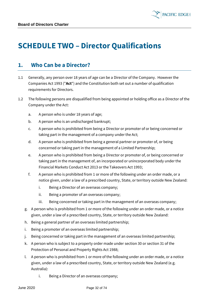

# <span id="page-31-0"></span>**SCHEDULE TWO – Director Qualifications**

#### **1. Who Can be a Director?**

- 1.1 Generally, any person over 18 years of age can be a Director of the Company. However the Companies Act 1993 ("**Act**") and the Constitution both set out a number of qualification requirements for Directors.
- <span id="page-31-1"></span>1.2 The following persons are disqualified from being appointed or holding office as a Director of the Company under the Act:
	- a. A person who is under 18 years of age;
	- b. A person who is an undischarged bankrupt;
	- c. A person who is prohibited from being a Director or promoter of or being concerned or taking part in the management of a company under the Act;
	- d. A person who is prohibited from being a general partner or promoter of, or being concerned or taking part in the management of a Limited Partnership;
	- e. A person who is prohibited from being a Director or promoter of, or being concerned or taking part in the management of, an incorporated or unincorporated body under the Financial Markets Conduct Act 2013 or the Takeovers Act 1993;
	- f. A person who is prohibited from 1 or more of the following under an order made, or a notice given, under a law of a prescribed country, State, or territory outside New Zealand:
		- i. Being a Director of an overseas company;
		- ii. Being a promoter of an overseas company;
		- iii. Being concerned or taking part in the management of an overseas company;
	- g. A person who is prohibited from 1 or more of the following under an order made, or a notice given, under a law of a prescribed country, State, or territory outside New Zealand:
	- h. Being a general partner of an overseas limited partnership;
	- i. Being a promoter of an overseas limited partnership;
	- j. Being concerned or taking part in the management of an overseas limited partnership;
	- k. A person who is subject to a property order made unde[r section 30](http://www.legislation.govt.nz/act/public/1993/0105/latest/link.aspx?id=DLM127009) o[r section 31](http://www.legislation.govt.nz/act/public/1993/0105/latest/link.aspx?id=DLM127010) of the Protection of Personal and Property Rights Act 1988;
	- l. A person who is prohibited from 1 or more of the following under an order made, or a notice given, under a law of a prescribed country, State, or territory outside New Zealand (e.g. Australia):
		- i. Being a Director of an overseas company;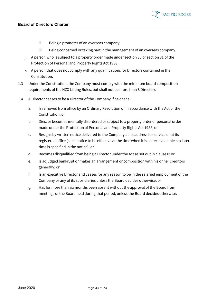

- ii. Being a promoter of an overseas company;
- iii. Being concerned or taking part in the management of an overseas company.
- j. A person who is subject to a property order made under section 30 or section 31 of the Protection of Personal and Property Rights Act 1988;
- k. A person that does not comply with any qualifications for Directors contained in the Constitution.
- 1.3 Under the Constitution, the Company must comply with the minimum board composition requirements of the NZX Listing Rules, but shall not be more than 8 Directors.
- 1.4 A Director ceases to be a Director of the Company if he or she:
	- a. Is removed from office by an Ordinary Resolution or in accordance with the Act or the Constitution; or
	- b. Dies, or becomes mentally disordered or subject to a property order or personal order made under the Protection of Personal and Property Rights Act 1988; or
	- c. Resigns by written notice delivered to the Company at its address for service or at its registered office (such notice to be effective at the time when it is so received unless a later time is specified in the notice); or
	- d. Becomes disqualified from being a Director under the Act as set out in clause [0;](#page-31-1) or
	- e. Is adjudged bankrupt or makes an arrangement or composition with his or her creditors generally; or
	- f. Is an executive Director and ceases for any reason to be in the salaried employment of the Company or any of its subsidiaries unless the Board decides otherwise; or
	- g. Has for more than six months been absent without the approval of the Board from meetings of the Board held during that period, unless the Board decides otherwise.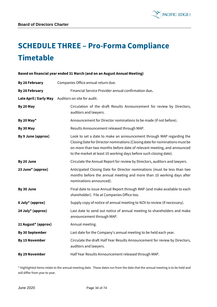

# <span id="page-33-0"></span>**SCHEDULE THREE – Pro-Forma Compliance Timetable**

# **Based on financial year ended 31 March (and on an August Annual Meeting) By 28 February** Companies Office annual return due. **By 28 February** Financial Service Provider annual confirmation due**. Late April / Early May** Auditors on site for audit. **By 20 May Circulation of the draft Results Announcement for review by Directors,** auditors and lawyers. **By 20 May\*** Announcement for Director nominations to be made (if not before). **By 30 May Results Announcement released through MAP. By 9 June (approx)** Look to set a date to make an announcement through MAP regarding the Closing Date for Director nominations (Closing date for nominations must be on more than two months before date of relevant meeting, and announced to the market at least 10 working days before such closing date). **By 20 June** Circulate the Annual Report for review by Directors, auditors and lawyers. **23 June\* (approx)** Anticipated Closing Date for Director nominations (must be less than two months before the annual meeting and more than 10 working days after nominations announced). **By 30 June** Final date to issue Annual Report through MAP (and make available to each shareholder). File at Companies Office too. **8 July<sup>\*</sup> (approx)** Supply copy of notice of annual meeting to NZX to review (if necessary). **24 July\* (approx)** Last date to send out notice of annual meeting to shareholders and make announcement through MAP. **21 August\* (approx)** Annual meeting. **By 30 September** Last date for the Company's annual meeting to be held each year. **By 15 November** Circulate the draft Half Year Results Announcement for review by Directors, auditors and lawyers. **By 29 November** Half Year Results Announcement released through MAP.

\* Highlighted items relate to the annual meeting date. These dates run from the date that the annual meeting is to be held and will differ from year to year.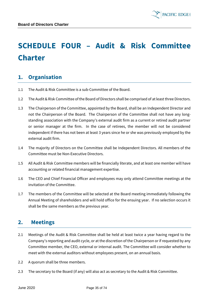

# <span id="page-34-0"></span>**SCHEDULE FOUR – Audit & Risk Committee Charter**

# **1. Organisation**

- 1.1 The Audit & Risk Committee is a sub-Committee of the Board.
- 1.2 The Audit & Risk Committee of the Board of Directors shall be comprised of at least three Directors.
- 1.3 The Chairperson of the Committee, appointed by the Board, shall be an Independent Director and not the Chairperson of the Board. The Chairperson of the Committee shall not have any longstanding association with the Company's external audit firm as a current or retired audit partner or senior manager at the firm. In the case of retirees, the member will not be considered independent if there has not been at least 3 years since he or she was previously employed by the external audit firm.
- 1.4 The majority of Directors on the Committee shall be Independent Directors. All members of the Committee must be Non-Executive Directors.
- 1.5 All Audit & Risk Committee members will be financially literate, and at least one member will have accounting or related financial management expertise.
- 1.6 The CEO and Chief Financial Officer and employees may only attend Committee meetings at the invitation of the Committee.
- 1.7 The members of the Committee will be selected at the Board meeting immediately following the Annual Meeting of shareholders and will hold office for the ensuing year. If no selection occurs it shall be the same members as the previous year.

#### **2. Meetings**

- 2.1 Meetings of the Audit & Risk Committee shall be held at least twice a year having regard to the Company's reporting and audit cycle, or at the discretion of the Chairperson or if requested by any Committee member, the CEO, external or internal audit. The Committee will consider whether to meet with the external auditors without employees present, on an annual basis.
- 2.2 A quorum shall be three members.
- 2.3 The secretary to the Board (if any) will also act as secretary to the Audit & Risk Committee.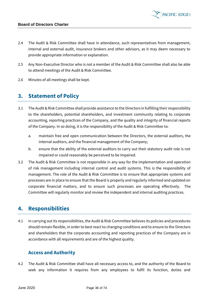- 2.4 The Audit & Risk Committee shall have in attendance, such representatives from management, internal and external audit, insurance brokers and other advisors, as it may deem necessary to provide appropriate information or explanation.
- 2.5 Any Non-Executive Director who is not a member of the Audit & Risk Committee shall also be able to attend meetings of the Audit & Risk Committee.
- 2.6 Minutes of all meetings shall be kept.

#### **3. Statement of Policy**

- 3.1 The Audit & Risk Committee shall provide assistance to the Directors in fulfilling their responsibility to the shareholders, potential shareholders, and investment community relating to corporate accounting, reporting practices of the Company, and the quality and integrity of financial reports of the Company. In so doing, it is the responsibility of the Audit & Risk Committee to:
	- a. maintain free and open communication between the Directors, the external auditors, the internal auditors, and the financial management of the Company;
	- b. ensure that the ability of the external auditors to carry out their statutory audit role is not impaired or could reasonably be perceived to be impaired.
- 3.2 The Audit & Risk Committee is not responsible in any way for the implementation and operation of risk management including internal control and audit systems. This is the responsibility of management. The role of the Audit & Risk Committee is to ensure that appropriate systems and processes are in place to ensure that the Board is properly and regularly informed and updated on corporate financial matters, and to ensure such processes are operating effectively. The Committee will regularly monitor and review the independent and internal auditing practices.

#### **4. Responsibilities**

4.1 In carrying out its responsibilities, the Audit & Risk Committee believes its policies and procedures should remain flexible, in order to best react to changing conditions and to ensure to the Directors and shareholders that the corporate accounting and reporting practices of the Company are in accordance with all requirements and are of the highest quality.

#### **Access and Authority**

4.2 The Audit & Risk Committee shall have all necessary access to, and the authority of the Board to seek any information it requires from any employees to fulfil its function, duties and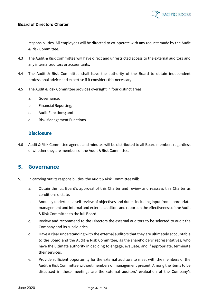

responsibilities. All employees will be directed to co-operate with any request made by the Audit & Risk Committee.

- 4.3 The Audit & Risk Committee will have direct and unrestricted access to the external auditors and any internal auditors or accountants.
- 4.4 The Audit & Risk Committee shall have the authority of the Board to obtain independent professional advice and expertise if it considers this necessary.
- 4.5 The Audit & Risk Committee provides oversight in four distinct areas:
	- a. Governance;
	- b. Financial Reporting;
	- c. Audit Functions; and
	- d. Risk Management Functions

#### **Disclosure**

4.6 Audit & Risk Committee agenda and minutes will be distributed to all Board members regardless of whether they are members of the Audit & Risk Committee.

### **5. Governance**

- 5.1 In carrying out its responsibilities, the Audit & Risk Committee will:
	- a. Obtain the full Board's approval of this Charter and review and reassess this Charter as conditions dictate.
	- b. Annually undertake a self-review of objectives and duties including input from appropriate management and internal and external auditors and report on the effectiveness of the Audit & Risk Committee to the full Board.
	- c. Review and recommend to the Directors the external auditors to be selected to audit the Company and its subsidiaries.
	- d. Have a clear understanding with the external auditors that they are ultimately accountable to the Board and the Audit & Risk Committee, as the shareholders' representatives, who have the ultimate authority in deciding to engage, evaluate, and if appropriate, terminate their services.
	- e. Provide sufficient opportunity for the external auditors to meet with the members of the Audit & Risk Committee without members of management present. Among the items to be discussed in these meetings are the external auditors' evaluation of the Company's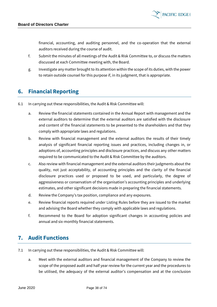financial, accounting, and auditing personnel, and the co-operation that the external auditors received during the course of audit.

- f. Submit the minutes of all meetings of the Audit & Risk Committee to, or discuss the matters discussed at each Committee meeting with, the Board.
- g. Investigate any matter brought to its attention within the scope of its duties, with the power to retain outside counsel for this purpose if, in its judgment, that is appropriate.

# **6. Financial Reporting**

- 6.1 In carrying out these responsibilities, the Audit & Risk Committee will:
	- a. Review the financial statements contained in the Annual Report with management and the external auditors to determine that the external auditors are satisfied with the disclosure and content of the financial statements to be presented to the shareholders and that they comply with appropriate laws and regulations.
	- b. Review with financial management and the external auditors the results of their timely analysis of significant financial reporting issues and practices, including changes in, or adoptions of, accounting principles and disclosure practices, and discuss any other matters required to be communicated to the Audit & Risk Committee by the auditors.
	- c. Also review with financial management and the external auditors their judgments about the quality, not just acceptability, of accounting principles and the clarity of the financial disclosure practices used or proposed to be used, and particularly, the degree of aggressiveness or conservatism of the organisation's accounting principles and underlying estimates, and other significant decisions made in preparing the financial statements.
	- d. Review the Company's tax position, compliance and any exposures.
	- e. Review financial reports required under Listing Rules before they are issued to the market and advising the Board whether they comply with applicable laws and regulations.
	- f. Recommend to the Board for adoption significant changes in accounting policies and annual and six-monthly financial statements.

# **7. Audit Functions**

- 7.1 In carrying out these responsibilities, the Audit & Risk Committee will:
	- a. Meet with the external auditors and financial management of the Company to review the scope of the proposed audit and half year review for the current year and the procedures to be utilised, the adequacy of the external auditor's compensation and at the conclusion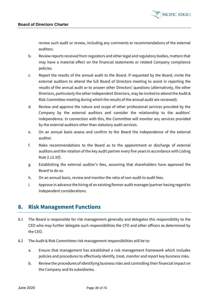

review such audit or review, including any comments or recommendations of the external auditors.

- b. Review reports received from regulators and other legal and regulatory bodies, matters that may have a material effect on the financial statements or related Company compliance policies.
- c. Report the results of the annual audit to the Board. If requested by the Board, invite the external auditors to attend the full Board of Directors meeting to assist in reporting the results of the annual audit or to answer other Directors' questions (alternatively, the other Directors, particularly the other Independent Directors, may be invited to attend the Audit & Risk Committee meeting during which the results of the annual audit are reviewed).
- d. Review and approve the nature and scope of other professional services provided by the Company by the external auditors and consider the relationship to the auditors' independence. In connection with this, the Committee will monitor any services provided by the external auditors other than statutory audit services.
- e. On an annual basis assess and confirm to the Board the independence of the external auditor.
- f. Make recommendations to the Board as to the appointment or discharge of external auditors and the rotation of the key audit partner every five years in accordance with Listing Rule 2.13.3(f).
- g. Establishing the external auditor's fees, assuming that shareholders have approved the Board to do so.
- h. On an annual basis, review and monitor the ratio of non-audit to audit fees.
- i. Approve in advance the hiring of an existing/former audit manager/partner having regard to independent considerations.

### **8. Risk Management Functions**

- 8.1 The Board is responsible for risk management generally and delegates this responsibility to the CEO who may further delegate such responsibilities the CFO and other officers as determined by the CEO.
- 8.2 The Audit & Risk Committees risk management responsibilities will be to:
	- a. Ensure that management has established a risk management framework which includes policies and procedures to effectively identify, treat, monitor and report key business risks.
	- b. Review the procedures of identifying business risks and controlling their financial impact on the Company and its subsidiaries.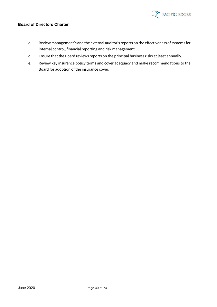

- c. Review management's and the external auditor's reports on the effectiveness of systems for internal control, financial reporting and risk management.
- d. Ensure that the Board reviews reports on the principal business risks at least annually.
- e. Review key insurance policy terms and cover adequacy and make recommendations to the Board for adoption of the insurance cover.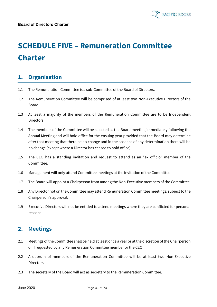

# **SCHEDULE FIVE – Remuneration Committee Charter**

# **1. Organisation**

- 1.1 The Remuneration Committee is a sub-Committee of the Board of Directors.
- 1.2 The Remuneration Committee will be comprised of at least two Non-Executive Directors of the Board.
- 1.3 At least a majority of the members of the Remuneration Committee are to be Independent Directors.
- 1.4 The members of the Committee will be selected at the Board meeting immediately following the Annual Meeting and will hold office for the ensuing year provided that the Board may determine after that meeting that there be no change and in the absence of any determination there will be no change (except where a Director has ceased to hold office).
- 1.5 The CEO has a standing invitation and request to attend as an "ex officio" member of the Committee.
- 1.6 Management will only attend Committee meetings at the invitation of the Committee.
- 1.7 The Board will appoint a Chairperson from among the Non-Executive members of the Committee.
- 1.8 Any Director not on the Committee may attend Remuneration Committee meetings, subject to the Chairperson's approval.
- 1.9 Executive Directors will not be entitled to attend meetings where they are conflicted for personal reasons.

# **2. Meetings**

- 2.1 Meetings of the Committee shall be held at least once a year or at the discretion of the Chairperson or if requested by any Remuneration Committee member or the CEO.
- 2.2 A quorum of members of the Remuneration Committee will be at least two Non-Executive Directors.
- 2.3 The secretary of the Board will act as secretary to the Remuneration Committee.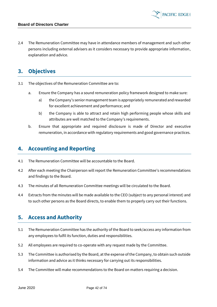2.4 The Remuneration Committee may have in attendance members of management and such other persons including external advisers as it considers necessary to provide appropriate information, explanation and advice.

### **3. Objectives**

- 3.1 The objectives of the Remuneration Committee are to:
	- a. Ensure the Company has a sound remuneration policy framework designed to make sure:
		- a) the Company's senior management team is appropriately remunerated and rewarded for excellent achievement and performance; and
		- b) the Company is able to attract and retain high performing people whose skills and attributes are well matched to the Company's requirements.
	- b. Ensure that appropriate and required disclosure is made of Director and executive remuneration, in accordance with regulatory requirements and good governance practices.

### **4. Accounting and Reporting**

- 4.1 The Remuneration Committee will be accountable to the Board.
- 4.2 After each meeting the Chairperson will report the Remuneration Committee's recommendations and findings to the Board.
- 4.3 The minutes of all Remuneration Committee meetings will be circulated to the Board.
- 4.4 Extracts from the minutes will be made available to the CEO (subject to any personal interest) and to such other persons as the Board directs, to enable them to properly carry out their functions.

### **5. Access and Authority**

- 5.1 The Remuneration Committee has the authority of the Board to seek/access any information from any employees to fulfil its function, duties and responsibilities.
- 5.2 All employees are required to co-operate with any request made by the Committee.
- 5.3 The Committee is authorised by the Board, at the expense of the Company, to obtain such outside information and advice as it thinks necessary for carrying out its responsibilities.
- 5.4 The Committee will make recommendations to the Board on matters requiring a decision.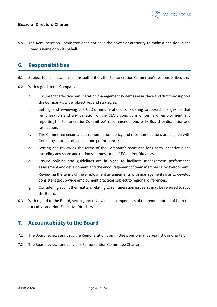5.5 The Remuneration Committee does not have the power or authority to make a decision in the Board's name or on its behalf.

### **6. Responsibilities**

- 6.1 Subject to the limitations on the authorities, the Remuneration Committee's responsibilities are:
- 6.2 With regard to the Company:
	- a. Ensure that effective remuneration management systems are in place and that they support the Company's wider objectives and strategies;
	- b. Setting and reviewing the CEO's remuneration, considering proposed changes to that remuneration and any variation of the CEO's conditions or terms of employment and reporting the Remuneration Committee's recommendations to the Board for discussion and ratification;
	- c. The Committee ensures that remuneration policy and recommendations are aligned with Company strategic objectives and performance;
	- d. Setting and reviewing the terms of the Company's short and long term incentive plans including any share and option schemes for the CEO and/or Directors;
	- e. Ensure policies and guidelines are in place to facilitate management performance assessment and development and the encouragement of team member self-development;
	- f. Reviewing the terms of the employment arrangements with management so as to develop consistent group-wide employment practices subject to regional differences;
	- g. Considering such other matters relating to remuneration issues as may be referred to it by the Board.
- 6.3 With regard to the Board, setting and reviewing all components of the remuneration of both the executive and Non-Executive Directors.

# **7. Accountability to the Board**

- 7.1 The Board reviews annually the Remuneration Committee's performance against this Charter.
- 7.2 The Board reviews annually this Remuneration Committee Charter.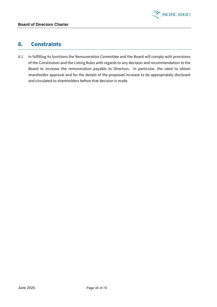

## **8. Constraints**

8.1 In fulfilling its functions the Remuneration Committee and the Board will comply with provisions of the Constitution and the Listing Rules with regards to any decision and recommendation to the Board to increase the remuneration payable to Directors. In particular, the need to obtain shareholder approval and for the details of the proposed increase to be appropriately disclosed and circulated to shareholders before that decision is made.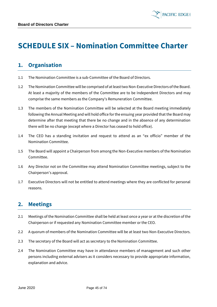# **SCHEDULE SIX – Nomination Committee Charter**

**PACIFIC EDGE** 

# **1. Organisation**

- 1.1 The Nomination Committee is a sub-Committee of the Board of Directors.
- 1.2 The Nomination Committee will be comprised of at least two Non-Executive Directors of the Board. At least a majority of the members of the Committee are to be Independent Directors and may comprise the same members as the Company's Remuneration Committee.
- 1.3 The members of the Nomination Committee will be selected at the Board meeting immediately following the Annual Meeting and will hold office for the ensuing year provided that the Board may determine after that meeting that there be no change and in the absence of any determination there will be no change (except where a Director has ceased to hold office).
- 1.4 The CEO has a standing invitation and request to attend as an "ex officio" member of the Nomination Committee.
- 1.5 The Board will appoint a Chairperson from among the Non-Executive members of the Nomination Committee.
- 1.6 Any Director not on the Committee may attend Nomination Committee meetings, subject to the Chairperson's approval.
- 1.7 Executive Directors will not be entitled to attend meetings where they are conflicted for personal reasons.

# **2. Meetings**

- 2.1 Meetings of the Nomination Committee shall be held at least once a year or at the discretion of the Chairperson or if requested any Nomination Committee member or the CEO.
- 2.2 A quorum of members of the Nomination Committee will be at least two Non-Executive Directors.
- 2.3 The secretary of the Board will act as secretary to the Nomination Committee.
- 2.4 The Nomination Committee may have in attendance members of management and such other persons including external advisers as it considers necessary to provide appropriate information, explanation and advice.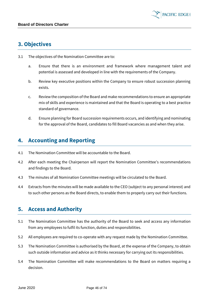### **3. Objectives**

- 3.1 The objectives of the Nomination Committee are to:
	- a. Ensure that there is an environment and framework where management talent and potential is assessed and developed in line with the requirements of the Company.
	- b. Review key executive positions within the Company to ensure robust succession planning exists.
	- c. Review the composition of the Board and make recommendations to ensure an appropriate mix of skills and experience is maintained and that the Board is operating to a best practice standard of governance.
	- d. Ensure planning for Board succession requirements occurs, and identifying and nominating for the approval of the Board, candidates to fill Board vacancies as and when they arise.

# **4. Accounting and Reporting**

- 4.1 The Nomination Committee will be accountable to the Board.
- 4.2 After each meeting the Chairperson will report the Nomination Committee's recommendations and findings to the Board.
- 4.3 The minutes of all Nomination Committee meetings will be circulated to the Board.
- 4.4 Extracts from the minutes will be made available to the CEO (subject to any personal interest) and to such other persons as the Board directs, to enable them to properly carry out their functions.

### **5. Access and Authority**

- 5.1 The Nomination Committee has the authority of the Board to seek and access any information from any employees to fulfil its function, duties and responsibilities.
- 5.2 All employees are required to co-operate with any request made by the Nomination Committee.
- 5.3 The Nomination Committee is authorised by the Board, at the expense of the Company, to obtain such outside information and advice as it thinks necessary for carrying out its responsibilities.
- 5.4 The Nomination Committee will make recommendations to the Board on matters requiring a decision.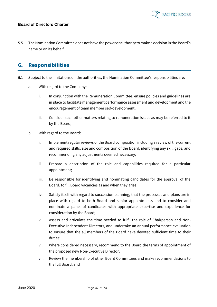5.5 The Nomination Committee does not have the power or authority to make a decision in the Board's name or on its behalf.

### **6. Responsibilities**

- 6.1 Subject to the limitations on the authorities, the Nomination Committee's responsibilities are:
	- a. With regard to the Company:
		- i. In conjunction with the Remuneration Committee, ensure policies and guidelines are in place to facilitate management performance assessment and development and the encouragement of team member self-development;
		- ii. Consider such other matters relating to remuneration issues as may be referred to it by the Board;
	- b. With regard to the Board:
		- i. Implement regular reviews of the Board composition including a review of the current and required skills, size and composition of the Board, identifying any skill gaps, and recommending any adjustments deemed necessary;
		- ii. Prepare a description of the role and capabilities required for a particular appointment;
		- iii. Be responsible for identifying and nominating candidates for the approval of the Board, to fill Board vacancies as and when they arise;
		- iv. Satisfy itself with regard to succession planning, that the processes and plans are in place with regard to both Board and senior appointments and to consider and nominate a panel of candidates with appropriate expertise and experience for consideration by the Board;
		- v. Assess and articulate the time needed to fulfil the role of Chairperson and Non-Executive Independent Directors, and undertake an annual performance evaluation to ensure that the all members of the Board have devoted sufficient time to their duties;
		- vi. Where considered necessary, recommend to the Board the terms of appointment of the proposed new Non-Executive Director;
		- vii. Review the membership of other Board Committees and make recommendations to the full Board; and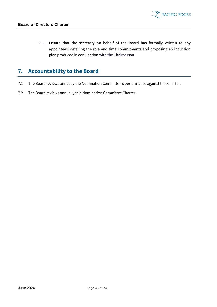

viii. Ensure that the secretary on behalf of the Board has formally written to any appointees, detailing the role and time commitments and proposing an induction plan produced in conjunction with the Chairperson.

# **7. Accountability to the Board**

- 7.1 The Board reviews annually the Nomination Committee's performance against this Charter.
- 7.2 The Board reviews annually this Nomination Committee Charter.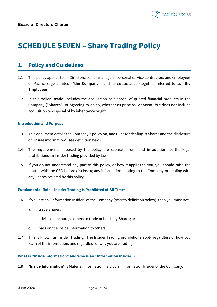

# **SCHEDULE SEVEN – Share Trading Policy**

### **1. Policy and Guidelines**

- 1.1 This policy applies to all Directors, senior managers, personal service contractors and employees of Pacific Edge Limited ("**the Company**") and its subsidiaries (together referred to as "**the Employees**").
- 1.2 In this policy '**trade**' includes the acquisition or disposal of quoted financial products in the Company ("**Shares**") or agreeing to do so, whether as principal or agent, but does not include acquisition or disposal of by inheritance or gift.

#### **Introduction and Purpose**

- 1.3 This document details the Company's policy on, and rules for dealing in Shares and the disclosure of "inside information" (see definition below).
- 1.4 The requirements imposed by the policy are separate from, and in addition to, the legal prohibitions on insider trading provided by law.
- 1.5 If you do not understand any part of this policy, or how it applies to you, you should raise the matter with the CEO before disclosing any information relating to the Company or dealing with any Shares covered by this policy.

#### **Fundamental Rule – Insider Trading is Prohibited at All Times**

- 1.6 If you are an "Information Insider" of the Company (refer to definition below), then you must not:
	- a. trade Shares;
	- b. advise or encourage others to trade or hold any Shares; or
	- c. pass on the Inside Information to others.
- 1.7 This is known as Insider Trading. The Insider Trading prohibitions apply regardless of how you learn of the information, and regardless of why you are trading.

#### **What is "Inside Information" and Who is an "Information Insider"?**

1.8 "**Inside Information**" is Material Information held by an Information Insider of the Company.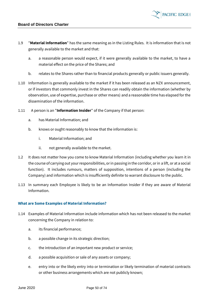

- 1.9 "**Material Information**" has the same meaning as in the Listing Rules. It is information that is not generally available to the market and that:
	- a. a reasonable person would expect, if it were generally available to the market, to have a material effect on the price of the Shares; and
	- b. relates to the Shares rather than to financial products generally or public issuers generally.
- 1.10 Information is generally available to the market if it has been released as an NZX announcement, or if investors that commonly invest in the Shares can readily obtain the information (whether by observation, use of expertise, purchase or other means) and a reasonable time has elapsed for the dissemination of the information.
- 1.11 A person is an "**Information Insider**" of the Company if that person:
	- a. has Material Information; and
	- b. knows or ought reasonably to know that the information is:
		- i. Material Information; and
		- ii. not generally available to the market.
- 1.2 It does not matter how you come to know Material Information (including whether you learn it in the course of carrying out your responsibilities, or in passing in the corridor, or in a lift, or at a social function). It includes rumours, matters of supposition, intentions of a person (including the Company) and information which is insufficiently definite to warrant disclosure to the public.
- 1.13 In summary each Employee is likely to be an Information Insider if they are aware of Material Information.

#### **What are Some Examples of Material Information?**

- 1.14 Examples of Material Information include information which has not been released to the market concerning the Company in relation to:
	- a. its financial performance;
	- b. a possible change in its strategic direction;
	- c. the introduction of an important new product or service;
	- d. a possible acquisition or sale of any assets or company;
	- e. entry into or the likely entry into or termination or likely termination of material contracts or other business arrangements which are not publicly known;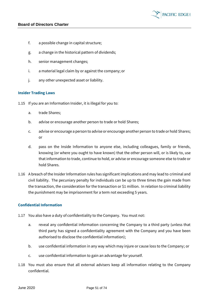- f. a possible change in capital structure;
- g. a change in the historical pattern of dividends;
- h. senior management changes;
- i. a material legal claim by or against the company; or
- j. any other unexpected asset or liability.

#### **Insider Trading Laws**

- 1.15 If you are an Information Insider, it is illegal for you to:
	- a. trade Shares;
	- b. advise or encourage another person to trade or hold Shares;
	- c. advise or encourage a person to advise or encourage another person to trade or hold Shares; or
	- d. pass on the Inside Information to anyone else, including colleagues, family or friends, knowing (or where you ought to have known) that the other person will, or is likely to, use that information to trade, continue to hold, or advise or encourage someone else to trade or hold Shares.
- 1.16 A breach of the Insider Information rules has significant implications and may lead to criminal and civil liability. The pecuniary penalty for individuals can be up to three times the gain made from the transaction, the consideration for the transaction or \$1 million. In relation to criminal liability the punishment may be imprisonment for a term not exceeding 5 years.

#### **Confidential Information**

- 1.17 You also have a duty of confidentiality to the Company. You must not:
	- a. reveal any confidential information concerning the Company to a third party (unless that third party has signed a confidentiality agreement with the Company and you have been authorised to disclose the confidential information);
	- b. use confidential information in any way which may injure or cause loss to the Company; or
	- c. use confidential information to gain an advantage for yourself.
- 1.18 You must also ensure that all external advisers keep all information relating to the Company confidential.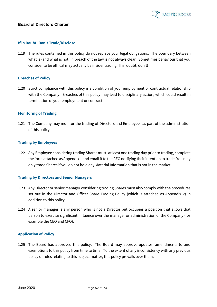

#### **If in Doubt, Don't Trade/Disclose**

1.19 The rules contained in this policy do not replace your legal obligations. The boundary between what is (and what is not) in breach of the law is not always clear. Sometimes behaviour that you consider to be ethical may actually be insider trading. If in doubt, don't!

#### **Breaches of Policy**

1.20 Strict compliance with this policy is a condition of your employment or contractual relationship with the Company. Breaches of this policy may lead to disciplinary action, which could result in termination of your employment or contract.

#### **Monitoring of Trading**

1.21 The Company may monitor the trading of Directors and Employees as part of the administration of this policy.

#### **Trading by Employees**

1.22 Any Employee considering trading Shares must, at least one trading day prior to trading, complete the form attached as Appendix 1 and email it to the CEO notifying their intention to trade. You may only trade Shares if you do not hold any Material Information that is not in the market.

#### **Trading by Directors and Senior Managers**

- 1.23 Any Director or senior manager considering trading Shares must also comply with the procedures set out in the Director and Officer Share Trading Policy (which is attached as Appendix 2) in addition to this policy.
- 1.24 A senior manager is any person who is not a Director but occupies a position that allows that person to exercise significant influence over the manager or administration of the Company (for example the CEO and CFO).

#### **Application of Policy**

1.25 The Board has approved this policy. The Board may approve updates, amendments to and exemptions to this policy from time to time. To the extent of any inconsistency with any previous policy or rules relating to this subject matter, this policy prevails over them.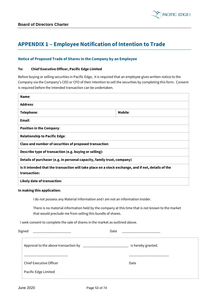

# **APPENDIX 1 – Employee Notification of Intention to Trade**

#### **Notice of Proposed Trade of Shares in the Company by an Employee**

#### **To: Chief Executive Officer, Pacific Edge Limited**

Before buying or selling securities in Pacific Edge, it is required that an employee gives written notice to the Company via the Company's CEO or CFO of their intention to sell the securities by completing this form. Consent is required before the intended transaction can be undertaken.

| Name:                                                                                                               |         |  |  |  |
|---------------------------------------------------------------------------------------------------------------------|---------|--|--|--|
| <b>Address:</b>                                                                                                     |         |  |  |  |
| Telephone:                                                                                                          | Mobile: |  |  |  |
| Email:                                                                                                              |         |  |  |  |
| <b>Position in the Company:</b>                                                                                     |         |  |  |  |
| <b>Relationship to Pacific Edge:</b>                                                                                |         |  |  |  |
| Class and number of securities of proposed transaction:                                                             |         |  |  |  |
| Describe type of transaction (e.g. buying or selling):                                                              |         |  |  |  |
| Details of purchaser (e.g. in personal capacity, family trust, company)                                             |         |  |  |  |
| Is it intended that the transaction will take place on a stock exchange, and if not, details of the<br>transaction: |         |  |  |  |
| Likely date of transaction:                                                                                         |         |  |  |  |
| In making this application:                                                                                         |         |  |  |  |

I do not possess any Material Information and I am not an Information Insider.

There is no material information held by the company at this time that is not known to the market that would preclude me from selling this bundle of shares.

I seek consent to complete the sale of shares in the market as outlined above.

| Signed                                                                              | Date |                    |  |
|-------------------------------------------------------------------------------------|------|--------------------|--|
| Approval to the above transaction by<br><u> 1980 - John Harrison, mars eta erro</u> |      | is hereby granted. |  |
| <b>Chief Executive Officer</b>                                                      |      | Date               |  |
| Pacific Edge Limited                                                                |      |                    |  |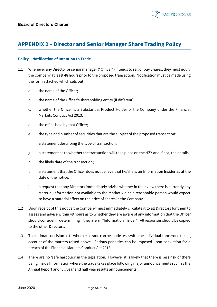

### **APPENDIX 2 – Director and Senior Manager Share Trading Policy**

#### **Policy – Notification of Intention to Trade**

- 1.1 Whenever any Director or senior manager ("Officer") intends to sell or buy Shares, they must notify the Company at least 48 hours prior to the proposed transaction. Notification must be made using the form attached which sets out:
	- a. the name of the Officer;
	- b. the name of the Officer's shareholding entity (if different);
	- c. whether the Officer is a Substantial Product Holder of the Company under the Financial Markets Conduct Act 2013;
	- d. the office held by that Officer;
	- e. the type and number of securities that are the subject of the proposed transaction;
	- f. a statement describing the type of transaction;
	- g. a statement as to whether the transaction will take place on the NZX and if not, the details;
	- h. the likely date of the transaction;
	- i. a statement that the Officer does not believe that he/she is an Information Insider as at the date of the notice;
	- j. a request that any Directors immediately advise whether in their view there is currently any Material Information not available to the market which a reasonable person would expect to have a material effect on the price of shares in the Company.
- 1.2 Upon receipt of this notice the Company must immediately circulate it to all Directors for them to assess and advise within 48 hours as to whether they are aware of any information that the Officer should consider in determining if they are an "Information Insider". All responses should be copied to the other Directors.
- 1.3 The ultimate decision as to whether a trade can be made rests with the individual concerned taking account of the matters raised above. Serious penalties can be imposed upon conviction for a breach of the Financial Markets Conduct Act 2013.
- 1.4 There are no 'safe harbours' in the legislation. However it is likely that there is less risk of there being Inside Information where the trade takes place following major announcements such as the Annual Report and full year and half year results announcements.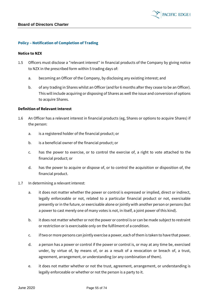#### **Policy – Notification of Completion of Trading**

#### **Notice to NZX**

- 1.5 Officers must disclose a "relevant interest" in financial products of the Company by giving notice to NZX in the prescribed form within 5 trading days of:
	- a. becoming an Officer of the Company, by disclosing any existing interest; and
	- b. of any trading in Shares whilst an Officer (and for 6 months after they cease to be an Officer). This will include acquiring or disposing of Shares as well the issue and conversion of options to acquire Shares.

#### **Definition of Relevant Interest**

- 1.6 An Officer has a relevant interest in financial products (eg, Shares or options to acquire Shares) if the person:
	- a. is a registered holder of the financial product; or
	- b. is a beneficial owner of the financial product; or
	- c. has the power to exercise, or to control the exercise of, a right to vote attached to the financial product; or
	- d. has the power to acquire or dispose of, or to control the acquisition or disposition of, the financial product.
- 1.7 In determining a relevant interest:
	- a. it does not matter whether the power or control is expressed or implied, direct or indirect, legally enforceable or not, related to a particular financial product or not, exercisable presently or in the future, or exercisable alone or jointly with another person or persons (but a power to cast merely one of many votes is not, in itself, a joint power of this kind).
	- b. it does not matter whether or not the power or control is or can be made subject to restraint or restriction or is exercisable only on the fulfilment of a condition.
	- c. if two or more persons can jointly exercise a power, each of them is taken to have that power.
	- d. a person has a power or control if the power or control is, or may at any time be, exercised under, by virtue of, by means of, or as a result of a revocation or breach of, a trust, agreement, arrangement, or understanding (or any combination of them).
	- e. it does not matter whether or not the trust, agreement, arrangement, or understanding is legally enforceable or whether or not the person is a party to it.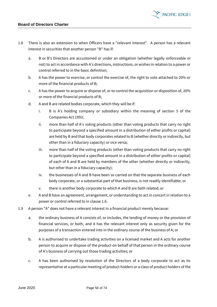

- 1.8 There is also an extension to when Officers have a "relevant interest". A person has a relevant interest in securities that another person "B" has if:
	- a. B or B's Directors are accustomed or under an obligation (whether legally enforceable or not) to act in accordance with A's directions, instructions, or wishes in relation to a power or control referred to in the basic definition;
	- b. A has the power to exercise, or control the exercise of, the right to vote attached to 20% or more of the financial products of B;
	- c. A has the power to acquire or dispose of, or to control the acquisition or disposition of, 20% or more of the financial products of B;
	- d. A and B are related bodies corporate, which they will be if:
		- i. B is A's holding company or subsidiary within the meaning of section 5 of the Companies Act 1993;
		- ii. more than half of A's voting products (other than voting products that carry no right to participate beyond a specified amount in a distribution of either profits or capital) are held by B and that body corporates related to B (whether directly or indirectly, but other than in a fiduciary capacity) or vice versa;
		- iii. more than half of the voting products (other than voting products that carry no right to participate beyond a specified amount in a distribution of either profits or capital) of each of A and B are held by members of the other (whether directly or indirectly, but other than in a fiduciary capacity);
		- iv. the businesses of A and B have been so carried on that the separate business of each body corporate, or a substantial part of that business, is not readily identifiable; or
		- v. there is another body corporate to which A and B are both related; or
	- e. A and B have an agreement, arrangement, or understanding to act in concert in relation to a power or control referred to in clause 1.6.
- 1.9 A person "A" does not have a relevant interest in a financial product merely because:
	- a. the ordinary business of A consists of, or includes, the lending of money or the provision of financial services, or both, and A has the relevant interest only as security given for the purposes of a transaction entered into in the ordinary course of the business of A; or
	- b. A is authorised to undertake trading activities on a licensed market and A acts for another person to acquire or dispose of the product on behalf of that person in the ordinary course of A's business of carrying out those trading activities; or
	- c. A has been authorised by resolution of the Directors of a body corporate to act as its representative at a particular meeting of product holders or a class of product holders of the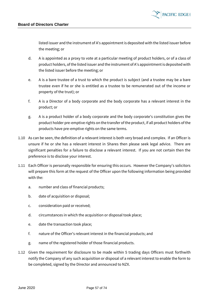

listed issuer and the instrument of A's appointment is deposited with the listed issuer before the meeting; or

- d. A is appointed as a proxy to vote at a particular meeting of product holders, or of a class of product holders, of the listed issuer and the instrument of A's appointment is deposited with the listed issuer before the meeting; or
- e. A is a bare trustee of a trust to which the product is subject (and a trustee may be a bare trustee even if he or she is entitled as a trustee to be remunerated out of the income or property of the trust); or
- f. A is a Director of a body corporate and the body corporate has a relevant interest in the product; or
- g. A is a product holder of a body corporate and the body corporate's constitution gives the product holder pre-emptive rights on the transfer of the product, if all product holders of the products have pre-emptive rights on the same terms.
- 1.10 As can be seen, the definition of a relevant interest is both very broad and complex. If an Officer is unsure if he or she has a relevant interest in Shares then please seek legal advice. There are significant penalties for a failure to disclose a relevant interest. If you are not certain then the preference is to disclose your interest.
- <span id="page-56-0"></span>1.11 Each Officer is personally responsible for ensuring this occurs. However the Company's solicitors will prepare this form at the request of the Officer upon the following information being provided with the:
	- a. number and class of financial products;
	- b. date of acquisition or disposal;
	- c. consideration paid or received;
	- d. circumstances in which the acquisition or disposal took place;
	- e. date the transaction took place;
	- f. nature of the Officer's relevant interest in the financial products; and
	- g. name of the registered holder of those financial products.
- 1.12 Given the requirement for disclosure to be made within 5 trading days Officers must forthwith notify the Company of any such acquisition or disposal of a relevant interest to enable the form to be completed, signed by the Director and announced to NZX.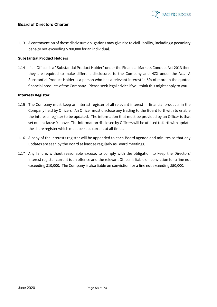1.13 A contravention of these disclosure obligations may give rise to civil liability, including a pecuniary penalty not exceeding \$200,000 for an individual.

#### **Substantial Product Holders**

1.14 If an Officer is a "Substantial Product Holder" under the Financial Markets Conduct Act 2013 then they are required to make different disclosures to the Company and NZX under the Act. A Substantial Product Holder is a person who has a relevant interest in 5% of more in the quoted financial products of the Company. Please seek legal advice if you think this might apply to you.

#### **Interests Register**

- 1.15 The Company must keep an interest register of all relevant interest in financial products in the Company held by Officers. An Officer must disclose any trading to the Board forthwith to enable the interests register to be updated. The information that must be provided by an Officer is that set out in clause [0](#page-56-0) above. The information disclosed by Officers will be utilised to forthwith update the share register which must be kept current at all times.
- 1.16 A copy of the interests register will be appended to each Board agenda and minutes so that any updates are seen by the Board at least as regularly as Board meetings.
- 1.17 Any failure, without reasonable excuse, to comply with the obligation to keep the Directors' interest register current is an offence and the relevant Officer is liable on conviction for a fine not exceeding \$10,000. The Company is also liable on conviction for a fine not exceeding \$50,000.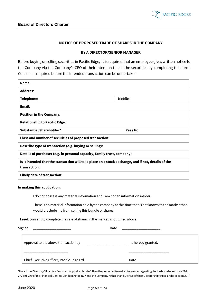

#### **NOTICE OF PROPOSED TRADE OF SHARES IN THE COMPANY**

#### **BY A DIRECTOR/SENIOR MANAGER**

Before buying or selling securities in Pacific Edge, it is required that an employee gives written notice to the Company via the Company's CEO of their intention to sell the securities by completing this form. Consent is required before the intended transaction can be undertaken.

| Name:                                                                                                               |          |  |  |  |
|---------------------------------------------------------------------------------------------------------------------|----------|--|--|--|
| <b>Address:</b>                                                                                                     |          |  |  |  |
| Telephone:                                                                                                          | Mobile:  |  |  |  |
| Email:                                                                                                              |          |  |  |  |
| <b>Position in the Company:</b>                                                                                     |          |  |  |  |
| <b>Relationship to Pacific Edge:</b>                                                                                |          |  |  |  |
| <b>Substantial Shareholder?</b>                                                                                     | Yes / No |  |  |  |
| Class and number of securities of proposed transaction:                                                             |          |  |  |  |
| Describe type of transaction (e.g. buying or selling):                                                              |          |  |  |  |
| Details of purchaser (e.g. in personal capacity, family trust, company)                                             |          |  |  |  |
| Is it intended that the transaction will take place on a stock exchange, and if not, details of the<br>transaction: |          |  |  |  |
| Likely date of transaction:                                                                                         |          |  |  |  |

#### **In making this application:**

I do not possess any material information and I am not an information insider.

There is no material information held by the company at this time that is not known to the market that would preclude me from selling this bundle of shares.

I seek consent to complete the sale of shares in the market as outlined above.

| Signed                                    | Date               |
|-------------------------------------------|--------------------|
| Approval to the above transaction by      | is hereby granted. |
|                                           |                    |
| Chief Executive Officer, Pacific Edge Ltd | Date               |

\*Note if the Director/Officer is a "substantial product holder" then they required to make disclosures regarding the trade under sections 276, 277 and 279 of the Financial Markets Conduct Act to NZX and the Company rather than by virtue of their Directorship/office under section 297.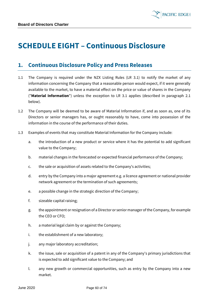

# **SCHEDULE EIGHT – Continuous Disclosure**

### **1. Continuous Disclosure Policy and Press Releases**

- 1.1 The Company is required under the NZX Listing Rules (LR 3.1) to notify the market of any information concerning the Company that a reasonable person would expect, if it were generally available to the market, to have a material effect on the price or value of shares in the Company ("**Material Information**") unless the exception to LR 3.1 applies (described in paragraph 2.1 below).
- 1.2 The Company will be deemed to be aware of Material Information if, and as soon as, one of its Directors or senior managers has, or ought reasonably to have, come into possession of the information in the course of the performance of their duties.
- 1.3 Examples of events that may constitute Material Information for the Company include:
	- a. the introduction of a new product or service where it has the potential to add significant value to the Company;
	- b. material changes in the forecasted or expected financial performance of the Company;
	- c. the sale or acquisition of assets related to the Company's activities;
	- d. entry by the Company into a major agreement e.g. a licence agreement or national provider network agreement or the termination of such agreements;
	- e. a possible change in the strategic direction of the Company;
	- f. sizeable capital raising;
	- g. the appointment or resignation of a Director or senior manager of the Company, for example the CEO or CFO;
	- h. a material legal claim by or against the Company;
	- i. the establishment of a new laboratory;
	- j. any major laboratory accreditation;
	- k. the issue, sale or acquisition of a patent in any of the Company's primary jurisdictions that is expected to add significant value to the Company; and
	- l. any new growth or commercial opportunities, such as entry by the Company into a new market.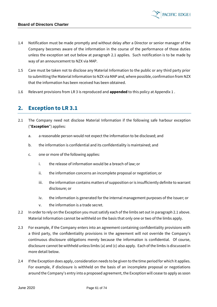

- 1.4 Notification must be made promptly and without delay after a Director or senior manager of the Company becomes aware of the information in the course of the performance of those duties unless the exception set out below at paragraph 2.1 applies. Such notification is to be made by way of an announcement to NZX via MAP.
- 1.5 Care must be taken not to disclose any Material Information to the public or any third party prior to submitting the Material Information to NZX via MAP and, where possible, confirmation from NZX that the information has been received has been obtained.
- 1.6 Relevant provisions from LR 3 is reproduced and **appended** to this policy at Appendix 1 .

### **2. Exception to LR 3.1**

- 2.1 The Company need not disclose Material Information if the following safe harbour exception ("**Exception**") applies:
	- a. a reasonable person would not expect the information to be disclosed; and
	- b. the information is confidential and its confidentiality is maintained; and
	- c. one or more of the following applies:
		- i. the release of information would be a breach of law; or
		- ii. the information concerns an incomplete proposal or negotiation; or
		- iii. the information contains matters of supposition or is insufficiently definite to warrant disclosure; or
		- iv. the information is generated for the internal management purposes of the Issuer; or
		- v. the information is a trade secret.
- 2.2 In order to rely on the Exception you must satisfy each of the limbs set out in paragraph 2.1 above. Material Information cannot be withheld on the basis that only one or two of the limbs apply.
- 2.3 For example, if the Company enters into an agreement containing confidentiality provisions with a third party, the confidentiality provisions in the agreement will not override the Company's continuous disclosure obligations merely because the information is confidential. Of course, disclosure cannot be withheld unless limbs (a) and (c) also apply. Each of the limbs is discussed in more detail below.
- 2.4 If the Exception does apply, consideration needs to be given to the time period for which it applies. For example, if disclosure is withheld on the basis of an incomplete proposal or negotiations around the Company's entry into a proposed agreement, the Exception will cease to apply as soon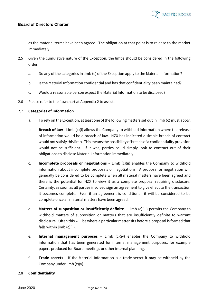as the material terms have been agreed. The obligation at that point is to release to the market immediately.

- 2.5 Given the cumulative nature of the Exception, the limbs should be considered in the following order:
	- a. Do any of the categories in limb (c) of the Exception apply to the Material Information?
	- b. Is the Material Information confidential and has that confidentiality been maintained?
	- c. Would a reasonable person expect the Material Information to be disclosed?
- 2.6 Please refer to the flowchart at Appendix 2 to assist.

#### 2.7 **Categories of Information**

- a. To rely on the Exception, at least one of the following matters set out in limb (c) must apply:
- b. **Breach of law** Limb (c)(i) allows the Company to withhold information where the release of information would be a breach of law. NZX has indicated a simple breach of contract would not satisfy this limb. This means the possibility of breach of a confidentiality provision would not be sufficient. If it was, parties could simply look to contract out of their obligations to disclose Material Information immediately.
- c. **Incomplete proposals or negotiations** Limb (c)(ii) enables the Company to withhold information about incomplete proposals or negotiations. A proposal or negotiation will generally be considered to be complete when all material matters have been agreed and there is the potential for NZX to view it as a complete proposal requiring disclosure. Certainly, as soon as all parties involved sign an agreement to give effect to the transaction it becomes complete. Even if an agreement is conditional, it will be considered to be complete once all material matters have been agreed.
- d. **Matters of supposition or insufficiently definite** Limb (c)(iii) permits the Company to withhold matters of supposition or matters that are insufficiently definite to warrant disclosure. Often this will be where a particular matter sits before a proposal is formed that falls within limb (c)(ii).
- e. **Internal management purposes** Limb (c)(iv) enables the Company to withhold information that has been generated for internal management purposes, for example papers produced for Board meetings or other internal planning.
- f. **Trade secrets** If the Material Information is a trade secret it may be withheld by the Company under limb  $(c)(v)$ .

#### 2.8 **Confidentiality**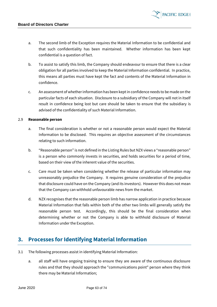

- a. The second limb of the Exception requires the Material Information to be confidential and that such confidentiality has been maintained. Whether information has been kept confidential is a question of fact.
- b. To assist to satisfy this limb, the Company should endeavour to ensure that there is a clear obligation for all parties involved to keep the Material Information confidential. In practice, this means all parties must have kept the fact and contents of the Material Information in confidence.
- c. An assessment of whether information has been kept in confidence needs to be made on the particular facts of each situation. Disclosure to a subsidiary of the Company will not in itself result in confidence being lost but care should be taken to ensure that the subsidiary is advised of the confidentiality of such Material Information.

#### 2.9 **Reasonable person**

- a. The final consideration is whether or not a reasonable person would expect the Material Information to be disclosed. This requires an objective assessment of the circumstances relating to such information.
- b. "Reasonable person" is not defined in the Listing Rules but NZX views a "reasonable person" is a person who commonly invests in securities, and holds securities for a period of time, based on their view of the inherent value of the securities.
- c. Care must be taken when considering whether the release of particular information may unreasonably prejudice the Company. It requires genuine consideration of the prejudice that disclosure could have on the Company (and its investors). However this does not mean that the Company can withhold unfavourable news from the market.
- d. NZX recognises that the reasonable person limb has narrow application in practice because Material Information that falls within both of the other two limbs will generally satisfy the reasonable person test. Accordingly, this should be the final consideration when determining whether or not the Company is able to withhold disclosure of Material Information under the Exception.

### **3. Processes for Identifying Material Information**

- 3.1 The following processes assist in identifying Material Information:
	- a. all staff will have ongoing training to ensure they are aware of the continuous disclosure rules and that they should approach the "communications point" person where they think there may be Material Information;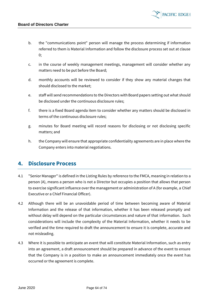b. the "communications point" person will manage the process determining if information referred to them is Material Information and follow the disclosure process set out at clause [0;](#page-63-0)

**PACIFIC EDGE** 

- c. in the course of weekly management meetings, management will consider whether any matters need to be put before the Board;
- d. monthly accounts will be reviewed to consider if they show any material changes that should disclosed to the market;
- e. staff will send recommendations to the Directors with Board papers setting out what should be disclosed under the continuous disclosure rules;
- f. there is a fixed Board agenda item to consider whether any matters should be disclosed in terms of the continuous disclosure rules;
- g. minutes for Board meeting will record reasons for disclosing or not disclosing specific matters; and
- h. the Company will ensure that appropriate confidentiality agreements are in place where the Company enters into material negotiations.

### <span id="page-63-0"></span>**4. Disclosure Process**

- 4.1 "Senior Manager" is defined in the Listing Rules by reference to the FMCA, meaning in relation to a person (A), means a person who is not a Director but occupies a position that allows that person to exercise significant influence over the management or administration of A (for example, a Chief Executive or a Chief Financial Officer).
- 4.2 Although there will be an unavoidable period of time between becoming aware of Material Information and the release of that information, whether it has been released promptly and without delay will depend on the particular circumstances and nature of that information. Such considerations will include the complexity of the Material Information, whether it needs to be verified and the time required to draft the announcement to ensure it is complete, accurate and not misleading.
- 4.3 Where it is possible to anticipate an event that will constitute Material Information, such as entry into an agreement, a draft announcement should be prepared in advance of the event to ensure that the Company is in a position to make an announcement immediately once the event has occurred or the agreement is complete.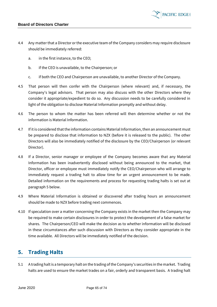- 4.4 Any matter that a Director or the executive team of the Company considers may require disclosure should be immediately referred:
	- a. in the first instance, to the CEO;
	- b. if the CEO is unavailable, to the Chairperson; or
	- c. if both the CEO and Chairperson are unavailable, to another Director of the Company.
- 4.5 That person will then confer with the Chairperson (where relevant) and, if necessary, the Company's legal advisors. That person may also discuss with the other Directors where they consider it appropriate/expedient to do so. Any discussion needs to be carefully considered in light of the obligation to disclose Material Information promptly and without delay.
- 4.6 The person to whom the matter has been referred will then determine whether or not the information is Material Information.
- 4.7 If it is considered that the information contains Material Information, then an announcement must be prepared to disclose that information to NZX (before it is released to the public). The other Directors will also be immediately notified of the disclosure by the CEO/Chairperson (or relevant Director).
- 4.8 If a Director, senior manager or employee of the Company becomes aware that any Material Information has been inadvertently disclosed without being announced to the market, that Director, officer or employee must immediately notify the CEO/Chairperson who will arrange to immediately request a trading halt to allow time for an urgent announcement to be made. Detailed information on the requirements and process for requesting trading halts is set out at paragraph 5 below.
- 4.9 Where Material Information is obtained or discovered after trading hours an announcement should be made to NZX before trading next commences.
- 4.10 If speculation over a matter concerning the Company exists in the market then the Company may be required to make certain disclosures in order to protect the development of a false market for shares. The Chairperson/CEO will make the decision as to whether information will be disclosed in these circumstances after such discussion with Directors as they consider appropriate in the time available. All Directors will be immediately notified of the decision.

# **5. Trading Halts**

5.1 A trading halt is a temporary halt on the trading of the Company's securities in the market. Trading halts are used to ensure the market trades on a fair, orderly and transparent basis. A trading halt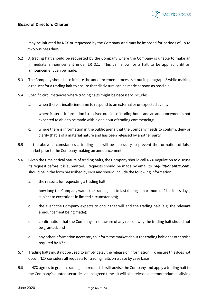

may be initiated by NZX or requested by the Company and may be imposed for periods of up to two business days.

- 5.2 A trading halt should be requested by the Company where the Company is unable to make an immediate announcement under LR 3.1. This can allow for a halt to be applied until an announcement can be made.
- 5.3 The Company should also initiate the announcement process set out in paragraph 3 while making a request for a trading halt to ensure that disclosure can be made as soon as possible.
- 5.4 Specific circumstances where trading halts might be necessary include:
	- a. when there is insufficient time to respond to an external or unexpected event;
	- b. where Material Information is received outside of trading hours and an announcement is not expected to able to be made within one hour of trading commencing;
	- c. where there is information in the public arena that the Company needs to confirm, deny or clarify that is of a material nature and has been released by another party.
- 5.5 In the above circumstances a trading halt will be necessary to prevent the formation of false market prior to the Company making an announcement.
- 5.6 Given the time critical nature of trading halts, the Company should call NZX Regulation to discuss its request before it is submitted. Requests should be made by email to *[regulation@nzx.com](mailto:regulation@nzx.com)***,**  should be in the form prescribed by NZX and should include the following information:
	- a. the reasons for requesting a trading halt;
	- b. how long the Company wants the trading halt to last (being a maximum of 2 business days, subject to exceptions in limited circumstances);
	- c. the event the Company expects to occur that will end the trading halt (e.g. the relevant announcement being made);
	- d. confirmation that the Company is not aware of any reason why the trading halt should not be granted; and
	- e. any other information necessary to inform the market about the trading halt or as otherwise required by NZX.
- 5.7 Trading halts must not be used to simply delay the release of information. To ensure this does not occur, NZX considers all requests for trading halts on a case by case basis.
- 5.8 If NZX agrees to grant a trading halt request, it will advise the Company and apply a trading halt to the Company's quoted securities at an agreed time. It will also release a memorandum notifying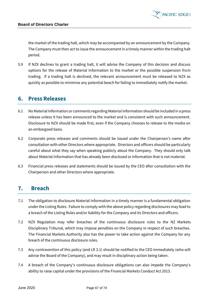

the market of the trading halt, which may be accompanied by an announcement by the Company. The Company must then act to issue the announcement in a timely manner within the trading halt period.

5.9 If NZX declines to grant a trading halt, it will advise the Company of this decision and discuss options for the release of Material Information to the market or the possible suspension from trading. If a trading halt is declined, the relevant announcement must be released to NZX as quickly as possible to minimise any potential beach for failing to immediately notify the market.

### **6. Press Releases**

- 6.1 No Material Information or comments regarding Material Information should be included in a press release unless it has been announced to the market and is consistent with such announcement. Disclosure to NZX should be made first, even if the Company chooses to release to the media on an embargoed basis.
- 6.2 Corporate press releases and comments should be issued under the Chairperson's name after consultation with other Directors where appropriate. Directors and officers should be particularly careful about what they say when speaking publicly about the Company. They should only talk about Material Information that has already been disclosed or information that is not material.
- 6.3 Financial press releases and statements should be issued by the CEO after consultation with the Chairperson and other Directors where appropriate.

### **7. Breach**

- 7.1 The obligation to disclosure Material Information in a timely manner is a fundamental obligation under the Listing Rules. Failure to comply with the above policy regarding disclosures may lead to a breach of the Listing Rules and/or liability for the Company and its Directors and officers.
- 7.2 NZX Regulation may refer breaches of the continuous disclosure rules to the NZ Markets Disciplinary Tribunal, which may impose penalties on the Company in respect of such breaches. The Financial Markets Authority also has the power to take action against the Company for any breach of the continuous disclosure rules.
- 7.3 Any contravention of this policy (and LR 3.1) should be notified to the CEO immediately (who will advise the Board of the Company), and may result in disciplinary action being taken.
- 7.4 A breach of the Company's continuous disclosure obligations can also impede the Company's ability to raise capital under the provisions of the Financial Markets Conduct Act 2013.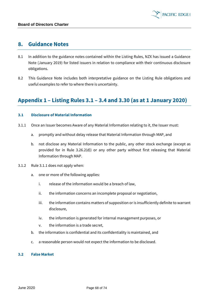### **8. Guidance Notes**

- 8.1 In addition to the guidance notes contained within the Listing Rules, NZX has issued a Guidance Note (January 2019) for listed issuers in relation to compliance with their continuous disclosure obligations.
- 8.2 This Guidance Note includes both interpretative guidance on the Listing Rule obligations and useful examples to refer to where there is uncertainty.

# **Appendix 1 – Listing Rules 3.1 – 3.4 and 3.30 (as at 1 January 2020)**

#### **3.1 Disclosure of Material Information**

- 3.1.1 Once an Issuer becomes Aware of any Material Information relating to it, the Issuer must:
	- a. promptly and without delay release that Material Information through MAP, and
	- b. not disclose any Material Information to the public, any other stock exchange (except as provided for in Rule 3.26.2(d)) or any other party without first releasing that Material Information through MAP.
- 3.1.2 Rule 3.1.1 does not apply when:
	- a. one or more of the following applies:
		- i. release of the information would be a breach of law,
		- ii. the information concerns an incomplete proposal or negotiation,
		- iii. the information contains matters of supposition or is insufficiently definite to warrant disclosure,
		- iv. the information is generated for internal management purposes, or
		- v. the information is a trade secret,
	- b. the information is confidential and its confidentiality is maintained, and
	- c. a reasonable person would not expect the information to be disclosed.

#### **3.2 False Market**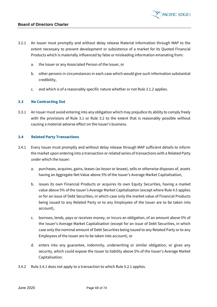

- 3.2.1 An Issuer must promptly and without delay release Material Information through MAP to the extent necessary to prevent development or subsistence of a market for its Quoted Financial Products which is materially influenced by false or misleading information emanating from:
	- a. the Issuer or any Associated Person of the Issuer, or
	- b. other persons in circumstances in each case which would give such information substantial credibility,
	- c. and which is of a reasonably specific nature whether or not Rule 3.1.2 applies.

#### **3.3 No Contracting Out**

3.3.1 An Issuer must avoid entering into any obligation which may prejudice its ability to comply freely with the provisions of Rule 3.1 or Rule 3.2 to the extent that is reasonably possible without causing a material adverse effect on the Issuer's business.

#### **3.4 Related Party Transactions**

- 3.4.1 Every Issuer must promptly and without delay release through MAP sufficient details to inform the market upon entering into a transaction or related series of transactions with a Related Party under which the Issuer:
	- a. purchases, acquires, gains, leases (as lessor or lessee), sells or otherwise disposes of, assets having an Aggregate Net Value above 5% of the Issuer's Average Market Capitalisation,
	- b. issues its own Financial Products or acquires its own Equity Securities, having a market value above 5% of the Issuer's Average Market Capitalisation (except where Rule 4.5 applies or for an issue of Debt Securities, in which case only the market value of Financial Products being issued to any Related Party or to any Employees of the Issuer are to be taken into account),
	- c. borrows, lends, pays or receives money, or incurs an obligation, of an amount above 5% of the Issuer's Average Market Capitalisation (except for an issue of Debt Securities, in which case only the nominal amount of Debt Securities being issued to any Related Party or to any Employees of the Issuer are to be taken into account), or
	- d. enters into any guarantee, indemnity, underwriting or similar obligation, or gives any security, which could expose the Issuer to liability above 5% of the Issuer's Average Market Capitalisation.
- 3.4.2 Rule 3.4.1 does not apply to a transaction to which Rule 5.2.1 applies.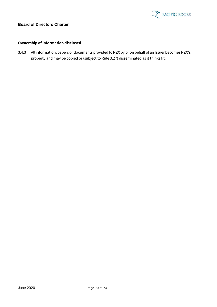

#### **Ownership of information disclosed**

3.4.3 All information, papers or documents provided to NZX by or on behalf of an Issuer becomes NZX's property and may be copied or (subject to Rule 3.27) disseminated as it thinks fit.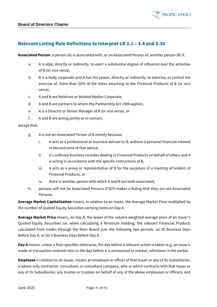

### **Relevant Listing Rule Definitions to Interpret LR 3.1 – 3.4 and 3.30**

**Associated Person**: a person (A) is associated with, or an Associated Person of, another person (B) if:

- a. A is able, directly or indirectly, to exert a substantial degree of influence over the activities of B (or vice versa),
- b. B is a body corporate and A has the power, directly or indirectly, to exercise, or control the exercise of, more than 50% of the Votes attaching to the Financial Products of B (or vice versa),
- c. A and B are Relatives or Related Bodies Corporate,
- d. A and B are partners to whom the Partnership Act 1908 applies,
- e. A is a Director or Senior Manager of B (or vice versa), or
- f. A and B are acting jointly or in concert,

#### except that:

- g. A is not an Associated Person of B merely because:
	- i. A acts as a professional or business adviser to B, without a personal financial interest in the outcome of that advice,
	- ii. A's ordinary business includes dealing in Financial Products on behalf of others and A is acting in accordance with the specific instructions of B,
	- iii. A acts as a proxy or representative of B for the purposes of a meeting of holders of Financial Products, or
	- iv. there is another person with which A and B are both associated,
- h. persons will not be Associated Persons if NZX makes a Ruling that they are not Associated Persons.

**Average Market Capitalisation** means, in relation to an Issuer, the Average Market Price multiplied by the number of Quoted Equity Securities carrying Votes on Day A.

**Average Market Price** means, on Day A, the lesser of the volume weighted average price of an Issuer's Quoted Equity Securities (or, when calculating a Minimum Holding, the relevant Financial Product) calculated from trades through the Main Board over the following two periods: (a) 20 Business Days before Day A, or (b) 5 Business Days before Day A.

**Day A** means, unless a Rule specifies otherwise, the day before a relevant action is taken (e.g. an issue is made or transaction entered into) or the day before it is announced to market, whichever is the earlier.

**Employee** in relation to an Issuer, means an employee or officer of that Issuer or any of its Subsidiaries; a labour only contractor, consultant, or consultant company, who or which contracts with that Issuer or any of its Subsidiaries; any trustee or trustees on behalf of any of the above employees or officers; and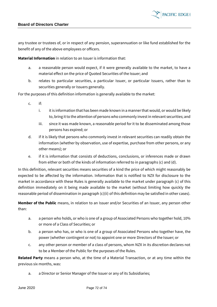

any trustee or trustees of, or in respect of any pension, superannuation or like fund established for the benefit of any of the above employees or officers.

**Material Information** in relation to an Issuer is information that:

- a. a reasonable person would expect, if it were generally available to the market, to have a material effect on the price of Quoted Securities of the Issuer; and
- b. relates to particular securities, a particular Issuer, or particular Issuers, rather than to securities generally or Issuers generally.

For the purposes of this definition information is generally available to the market:

- c. if:
	- i. it is information that has been made known in a manner that would, or would be likely to, bring it to the attention of persons who commonly invest in relevant securities; and
	- iii. since it was made known, a reasonable period for it to be disseminated among those persons has expired; or
- d. if it is likely that persons who commonly invest in relevant securities can readily obtain the information (whether by observation, use of expertise, purchase from other persons, or any other means); or
- e. if it is information that consists of deductions, conclusions, or inferences made or drawn from either or both of the kinds of information referred to in paragraphs (c) and (d).

In this definition, relevant securities means securities of a kind the price of which might reasonably be expected to be affected by the information. Information that is notified to NZX for disclosure to the market in accordance with these Rules is generally available to the market under paragraph (c) of this definition immediately on it being made available to the market (without limiting how quickly the reasonable period of dissemination in paragraph (c)(ii) of this definition may be satisfied in other cases).

**Member of the Public** means, in relation to an Issuer and/or Securities of an Issuer, any person other than:

- a. a person who holds, or who is one of a group of Associated Persons who together hold, 10% or more of a Class of Securities; or
- b. a person who has, or who is one of a group of Associated Persons who together have, the power (whether contingent or not) to appoint one or more Directors of the Issuer; or
- c. any other person or member of a class of persons, whom NZX in its discretion declares not to be a Member of the Public for the purposes of the Rules.

**Related Party** means a person who, at the time of a Material Transaction, or at any time within the previous six months, was:

a. a Director or Senior Manager of the Issuer or any of its Subsidiaries;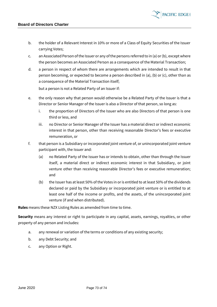b. the holder of a Relevant Interest in 10% or more of a Class of Equity Securities of the Issuer carrying Votes;

**PACIFIC EDGE** 

- c. an Associated Person of the Issuer or any of the persons referred to in (a) or (b), except where the person becomes an Associated Person as a consequence of the Material Transaction;
- d. a person in respect of whom there are arrangements which are intended to result in that person becoming, or expected to become a person described in (a), (b) or (c), other than as a consequence of the Material Transaction itself;

but a person is not a Related Party of an Issuer if:

- e. the only reason why that person would otherwise be a Related Party of the Issuer is that a Director or Senior Manager of the Issuer is also a Director of that person, so long as:
	- i. the proportion of Directors of the Issuer who are also Directors of that person is one third or less, and
	- iii. no Director or Senior Manager of the Issuer has a material direct or indirect economic interest in that person, other than receiving reasonable Director's fees or executive remuneration, or
- f. that person is a Subsidiary or incorporated joint venture of, or unincorporated joint venture participant with, the Issuer and:
	- (a) no Related Party of the Issuer has or intends to obtain, other than through the Issuer itself, a material direct or indirect economic interest in that Subsidiary, or joint venture other than receiving reasonable Director's fees or executive remuneration; and
	- (b) the Issuer has at least 50% of the Votes in or is entitled to at least 50% of the dividends declared or paid by the Subsidiary or incorporated joint venture or is entitled to at least one half of the income or profits, and the assets, of the unincorporated joint venture (if and when distributed).

**Rules** means these NZX Listing Rules as amended from time to time.

**Security** means any interest or right to participate in any capital, assets, earnings, royalties, or other property of any person and includes:

- a. any renewal or variation of the terms or conditions of any existing security;
- b. any Debt Security; and
- c. any Option or Right.